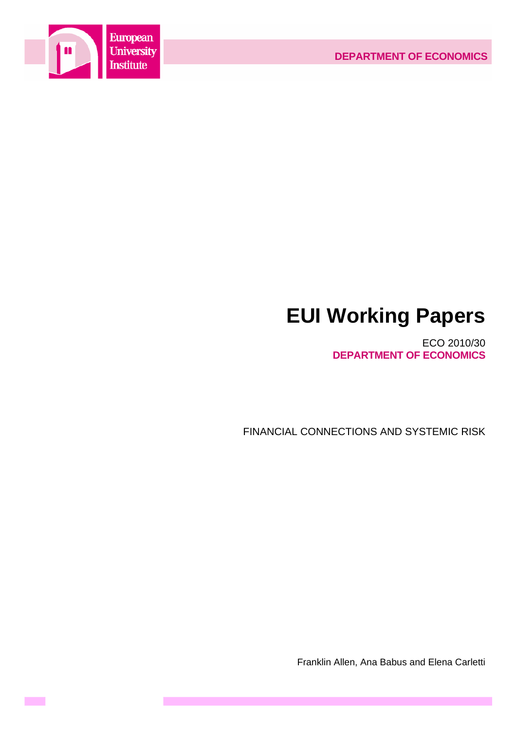

**Contract** 

### **EUI Working Papers**

ECO 2010/30 **DEPARTMENT OF ECONOMICS**

FINANCIAL CONNECTIONS AND SYSTEMIC RISK

Franklin Allen, Ana Babus and Elena Carletti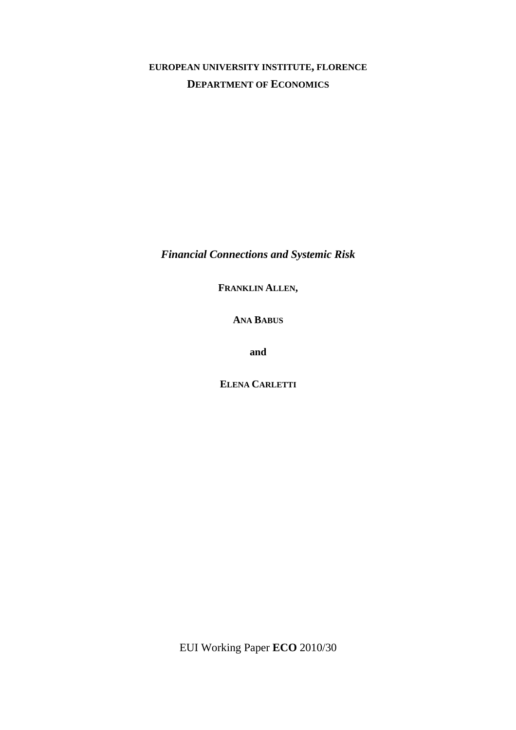#### **EUROPEAN UNIVERSITY INSTITUTE, FLORENCE DEPARTMENT OF ECONOMICS**

*Financial Connections and Systemic Risk* 

**FRANKLIN ALLEN,**

**ANA BABUS** 

**and** 

**ELENA CARLETTI**

EUI Working Paper **ECO** 2010/30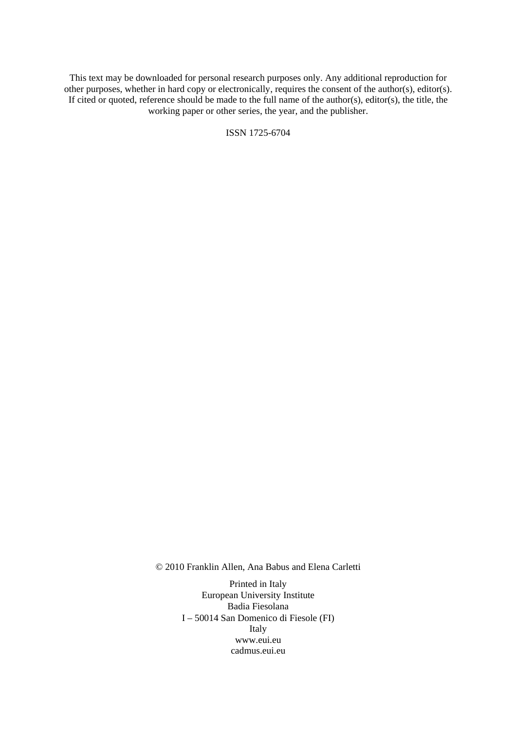This text may be downloaded for personal research purposes only. Any additional reproduction for other purposes, whether in hard copy or electronically, requires the consent of the author(s), editor(s). If cited or quoted, reference should be made to the full name of the author(s), editor(s), the title, the working paper or other series, the year, and the publisher.

ISSN 1725-6704

© 2010 Franklin Allen, Ana Babus and Elena Carletti

Printed in Italy European University Institute Badia Fiesolana I – 50014 San Domenico di Fiesole (FI) Italy [www.eui.eu](http://www.eui.eu/)  [cadmus.eui.eu](http://www.eui.eu/)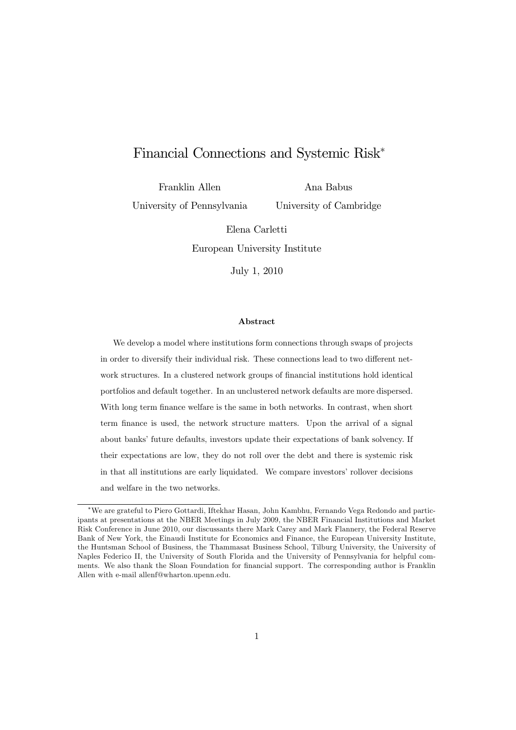#### Financial Connections and Systemic Risk

Franklin Allen

University of Pennsylvania

Ana Babus University of Cambridge

Elena Carletti European University Institute

July 1, 2010

#### Abstract

We develop a model where institutions form connections through swaps of projects in order to diversify their individual risk. These connections lead to two different network structures. In a clustered network groups of financial institutions hold identical portfolios and default together. In an unclustered network defaults are more dispersed. With long term finance welfare is the same in both networks. In contrast, when short term finance is used, the network structure matters. Upon the arrival of a signal about banks' future defaults, investors update their expectations of bank solvency. If their expectations are low, they do not roll over the debt and there is systemic risk in that all institutions are early liquidated. We compare investors' rollover decisions and welfare in the two networks.

<sup>\*</sup>We are grateful to Piero Gottardi, Iftekhar Hasan, John Kambhu, Fernando Vega Redondo and participants at presentations at the NBER Meetings in July 2009, the NBER Financial Institutions and Market Risk Conference in June 2010, our discussants there Mark Carey and Mark Flannery, the Federal Reserve Bank of New York, the Einaudi Institute for Economics and Finance, the European University Institute, the Huntsman School of Business, the Thammasat Business School, Tilburg University, the University of Naples Federico II, the University of South Florida and the University of Pennsylvania for helpful comments. We also thank the Sloan Foundation for financial support. The corresponding author is Franklin Allen with e-mail allenf@wharton.upenn.edu.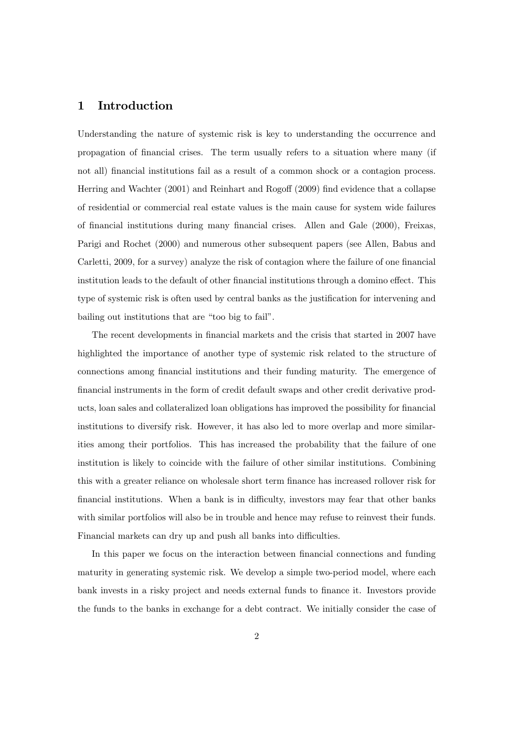#### 1 Introduction

Understanding the nature of systemic risk is key to understanding the occurrence and propagation of financial crises. The term usually refers to a situation where many (if not all) financial institutions fail as a result of a common shock or a contagion process. Herring and Wachter  $(2001)$  and Reinhart and Rogoff  $(2009)$  find evidence that a collapse of residential or commercial real estate values is the main cause for system wide failures of financial institutions during many financial crises. Allen and Gale (2000), Freixas, Parigi and Rochet (2000) and numerous other subsequent papers (see Allen, Babus and Carletti, 2009, for a survey) analyze the risk of contagion where the failure of one financial institution leads to the default of other financial institutions through a domino effect. This type of systemic risk is often used by central banks as the justification for intervening and bailing out institutions that are "too big to fail".

The recent developments in financial markets and the crisis that started in 2007 have highlighted the importance of another type of systemic risk related to the structure of connections among financial institutions and their funding maturity. The emergence of financial instruments in the form of credit default swaps and other credit derivative products, loan sales and collateralized loan obligations has improved the possibility for financial institutions to diversify risk. However, it has also led to more overlap and more similarities among their portfolios. This has increased the probability that the failure of one institution is likely to coincide with the failure of other similar institutions. Combining this with a greater reliance on wholesale short term finance has increased rollover risk for financial institutions. When a bank is in difficulty, investors may fear that other banks with similar portfolios will also be in trouble and hence may refuse to reinvest their funds. Financial markets can dry up and push all banks into difficulties.

In this paper we focus on the interaction between financial connections and funding maturity in generating systemic risk. We develop a simple two-period model, where each bank invests in a risky project and needs external funds to finance it. Investors provide the funds to the banks in exchange for a debt contract. We initially consider the case of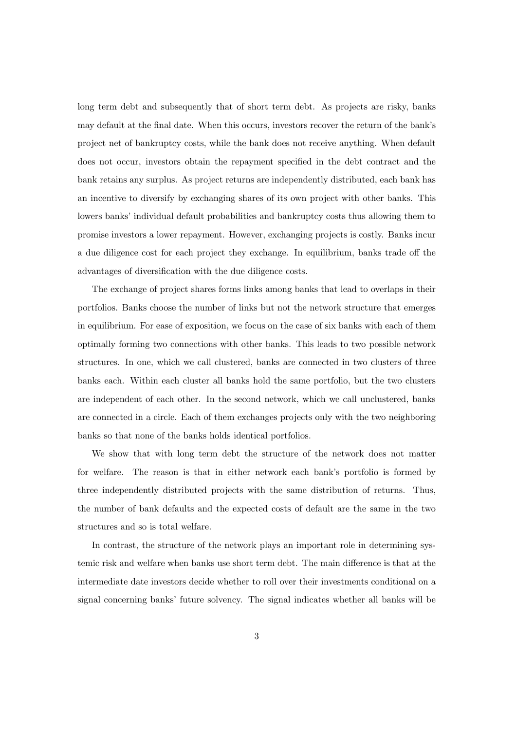long term debt and subsequently that of short term debt. As projects are risky, banks may default at the final date. When this occurs, investors recover the return of the bank's project net of bankruptcy costs, while the bank does not receive anything. When default does not occur, investors obtain the repayment specified in the debt contract and the bank retains any surplus. As project returns are independently distributed, each bank has an incentive to diversify by exchanging shares of its own project with other banks. This lowers banks' individual default probabilities and bankruptcy costs thus allowing them to promise investors a lower repayment. However, exchanging projects is costly. Banks incur a due diligence cost for each project they exchange. In equilibrium, banks trade off the advantages of diversification with the due diligence costs.

The exchange of project shares forms links among banks that lead to overlaps in their portfolios. Banks choose the number of links but not the network structure that emerges in equilibrium. For ease of exposition, we focus on the case of six banks with each of them optimally forming two connections with other banks. This leads to two possible network structures. In one, which we call clustered, banks are connected in two clusters of three banks each. Within each cluster all banks hold the same portfolio, but the two clusters are independent of each other. In the second network, which we call unclustered, banks are connected in a circle. Each of them exchanges projects only with the two neighboring banks so that none of the banks holds identical portfolios.

We show that with long term debt the structure of the network does not matter for welfare. The reason is that in either network each bank's portfolio is formed by three independently distributed projects with the same distribution of returns. Thus, the number of bank defaults and the expected costs of default are the same in the two structures and so is total welfare.

In contrast, the structure of the network plays an important role in determining systemic risk and welfare when banks use short term debt. The main difference is that at the intermediate date investors decide whether to roll over their investments conditional on a signal concerning banks' future solvency. The signal indicates whether all banks will be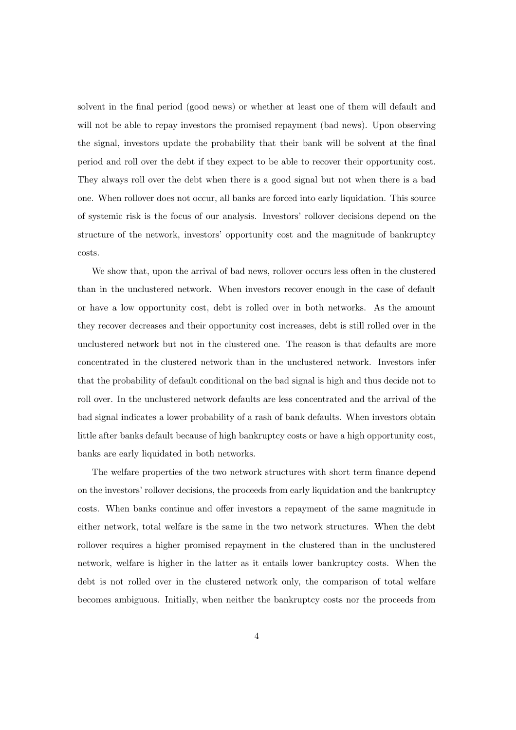solvent in the final period (good news) or whether at least one of them will default and will not be able to repay investors the promised repayment (bad news). Upon observing the signal, investors update the probability that their bank will be solvent at the final period and roll over the debt if they expect to be able to recover their opportunity cost. They always roll over the debt when there is a good signal but not when there is a bad one. When rollover does not occur, all banks are forced into early liquidation. This source of systemic risk is the focus of our analysis. Investors' rollover decisions depend on the structure of the network, investors' opportunity cost and the magnitude of bankruptcy costs.

We show that, upon the arrival of bad news, rollover occurs less often in the clustered than in the unclustered network. When investors recover enough in the case of default or have a low opportunity cost, debt is rolled over in both networks. As the amount they recover decreases and their opportunity cost increases, debt is still rolled over in the unclustered network but not in the clustered one. The reason is that defaults are more concentrated in the clustered network than in the unclustered network. Investors infer that the probability of default conditional on the bad signal is high and thus decide not to roll over. In the unclustered network defaults are less concentrated and the arrival of the bad signal indicates a lower probability of a rash of bank defaults. When investors obtain little after banks default because of high bankruptcy costs or have a high opportunity cost, banks are early liquidated in both networks.

The welfare properties of the two network structures with short term finance depend on the investors' rollover decisions, the proceeds from early liquidation and the bankruptcy costs. When banks continue and offer investors a repayment of the same magnitude in either network, total welfare is the same in the two network structures. When the debt rollover requires a higher promised repayment in the clustered than in the unclustered network, welfare is higher in the latter as it entails lower bankruptcy costs. When the debt is not rolled over in the clustered network only, the comparison of total welfare becomes ambiguous. Initially, when neither the bankruptcy costs nor the proceeds from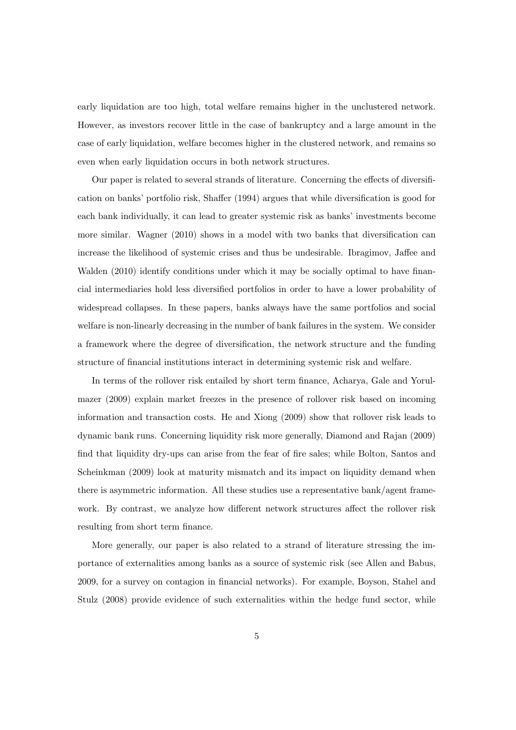early liquidation are too high, total welfare remains higher in the unclustered network. However, as investors recover little in the case of bankruptcy and a large amount in the case of early liquidation, welfare becomes higher in the clustered network, and remains so even when early liquidation occurs in both network structures.

Our paper is related to several strands of literature. Concerning the effects of diversification on banks' portfolio risk, Shaffer (1994) argues that while diversification is good for each bank individually, it can lead to greater systemic risk as banks' investments become more similar. Wagner (2010) shows in a model with two banks that diversification can increase the likelihood of systemic crises and thus be undesirable. Ibragimov, Jaffee and Walden (2010) identify conditions under which it may be socially optimal to have financial intermediaries hold less diversified portfolios in order to have a lower probability of widespread collapses. In these papers, banks always have the same portfolios and social welfare is non-linearly decreasing in the number of bank failures in the system. We consider a framework where the degree of diversification, the network structure and the funding structure of financial institutions interact in determining systemic risk and welfare.

In terms of the rollover risk entailed by short term finance, Acharya, Gale and Yorulmazer (2009) explain market freezes in the presence of rollover risk based on incoming information and transaction costs. He and Xiong (2009) show that rollover risk leads to dynamic bank runs. Concerning liquidity risk more generally, Diamond and Rajan (2009) find that liquidity dry-ups can arise from the fear of fire sales; while Bolton, Santos and Scheinkman (2009) look at maturity mismatch and its impact on liquidity demand when there is asymmetric information. All these studies use a representative bank/agent framework. By contrast, we analyze how different network structures affect the rollover risk resulting from short term finance.

More generally, our paper is also related to a strand of literature stressing the importance of externalities among banks as a source of systemic risk (see Allen and Babus, 2009, for a survey on contagion in financial networks). For example, Boyson, Stahel and Stulz (2008) provide evidence of such externalities within the hedge fund sector, while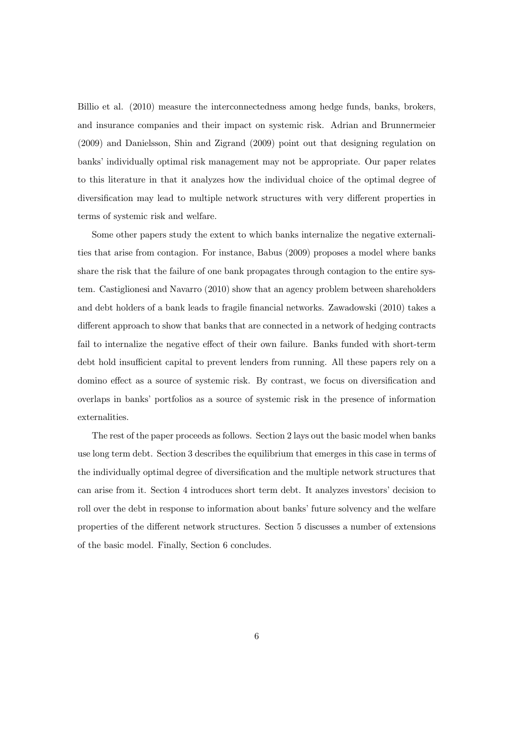Billio et al. (2010) measure the interconnectedness among hedge funds, banks, brokers, and insurance companies and their impact on systemic risk. Adrian and Brunnermeier (2009) and Danielsson, Shin and Zigrand (2009) point out that designing regulation on banks' individually optimal risk management may not be appropriate. Our paper relates to this literature in that it analyzes how the individual choice of the optimal degree of diversification may lead to multiple network structures with very different properties in terms of systemic risk and welfare.

Some other papers study the extent to which banks internalize the negative externalities that arise from contagion. For instance, Babus (2009) proposes a model where banks share the risk that the failure of one bank propagates through contagion to the entire system. Castiglionesi and Navarro (2010) show that an agency problem between shareholders and debt holders of a bank leads to fragile financial networks. Zawadowski (2010) takes a different approach to show that banks that are connected in a network of hedging contracts fail to internalize the negative effect of their own failure. Banks funded with short-term debt hold insufficient capital to prevent lenders from running. All these papers rely on a domino effect as a source of systemic risk. By contrast, we focus on diversification and overlaps in banks' portfolios as a source of systemic risk in the presence of information externalities.

The rest of the paper proceeds as follows. Section 2 lays out the basic model when banks use long term debt. Section 3 describes the equilibrium that emerges in this case in terms of the individually optimal degree of diversification and the multiple network structures that can arise from it. Section 4 introduces short term debt. It analyzes investors' decision to roll over the debt in response to information about banks' future solvency and the welfare properties of the different network structures. Section 5 discusses a number of extensions of the basic model. Finally, Section 6 concludes.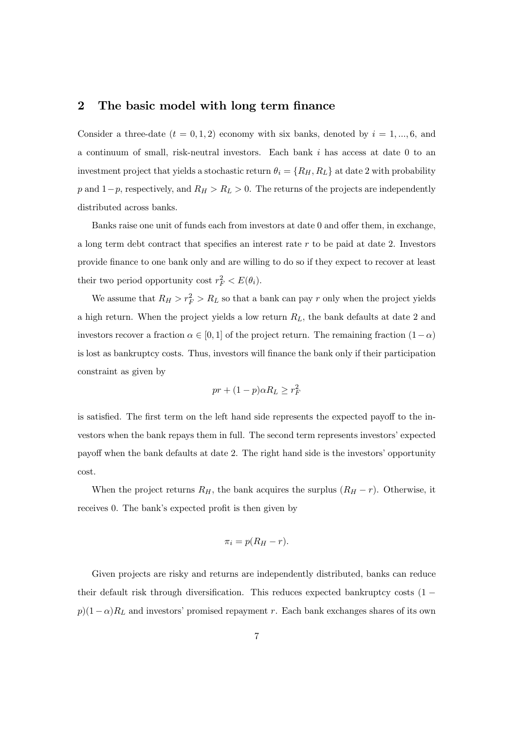#### 2 The basic model with long term finance

Consider a three-date  $(t = 0, 1, 2)$  economy with six banks, denoted by  $i = 1, ..., 6$ , and a continuum of small, risk-neutral investors. Each bank  $i$  has access at date 0 to an investment project that yields a stochastic return  $\theta_i = \{R_H, R_L\}$  at date 2 with probability p and  $1-p$ , respectively, and  $R_H > R_L > 0$ . The returns of the projects are independently distributed across banks.

Banks raise one unit of funds each from investors at date 0 and offer them, in exchange, a long term debt contract that specifies an interest rate  $r$  to be paid at date 2. Investors provide finance to one bank only and are willing to do so if they expect to recover at least their two period opportunity cost  $r_F^2 < E(\theta_i)$ .

We assume that  $R_H > r_F^2 > R_L$  so that a bank can pay r only when the project yields a high return. When the project yields a low return  $R_L$ , the bank defaults at date 2 and investors recover a fraction  $\alpha \in [0, 1]$  of the project return. The remaining fraction  $(1-\alpha)$ is lost as bankruptcy costs. Thus, investors will finance the bank only if their participation constraint as given by

$$
pr + (1 - p)\alpha R_L \ge r_F^2
$$

is satisfied. The first term on the left hand side represents the expected payoff to the investors when the bank repays them in full. The second term represents investors' expected payoff when the bank defaults at date 2. The right hand side is the investors' opportunity cost.

When the project returns  $R_H$ , the bank acquires the surplus  $(R_H - r)$ . Otherwise, it receives 0. The bank's expected profit is then given by

$$
\pi_i = p(R_H - r).
$$

Given projects are risky and returns are independently distributed, banks can reduce their default risk through diversification. This reduces expected bankruptcy costs  $(1$  $p(1 - \alpha)R_L$  and investors' promised repayment r. Each bank exchanges shares of its own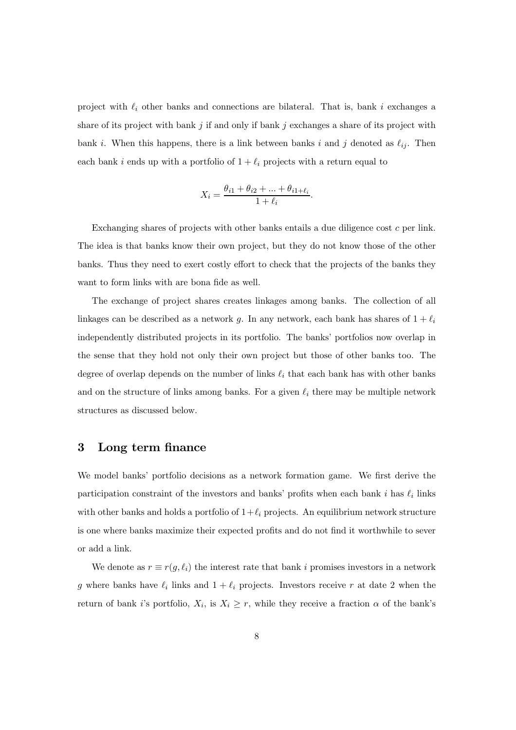project with  $\ell_i$  other banks and connections are bilateral. That is, bank i exchanges a share of its project with bank j if and only if bank j exchanges a share of its project with bank i. When this happens, there is a link between banks i and j denoted as  $\ell_{ij}$ . Then each bank i ends up with a portfolio of  $1 + \ell_i$  projects with a return equal to

$$
X_i=\frac{\theta_{i1}+\theta_{i2}+\ldots+\theta_{i1+\ell_i}}{1+\ell_i}.
$$

Exchanging shares of projects with other banks entails a due diligence cost  $c$  per link. The idea is that banks know their own project, but they do not know those of the other banks. Thus they need to exert costly effort to check that the projects of the banks they want to form links with are bona fide as well.

The exchange of project shares creates linkages among banks. The collection of all linkages can be described as a network g. In any network, each bank has shares of  $1 + \ell_i$ independently distributed projects in its portfolio. The banks' portfolios now overlap in the sense that they hold not only their own project but those of other banks too. The degree of overlap depends on the number of links  $\ell_i$  that each bank has with other banks and on the structure of links among banks. For a given  $\ell_i$  there may be multiple network structures as discussed below.

#### 3 Long term finance

We model banks' portfolio decisions as a network formation game. We first derive the participation constraint of the investors and banks' profits when each bank i has  $\ell_i$  links with other banks and holds a portfolio of  $1+\ell_i$  projects. An equilibrium network structure is one where banks maximize their expected profits and do not find it worthwhile to sever or add a link.

We denote as  $r \equiv r(g, \ell_i)$  the interest rate that bank i promises investors in a network g where banks have  $\ell_i$  links and  $1 + \ell_i$  projects. Investors receive r at date 2 when the return of bank i's portfolio,  $X_i$ , is  $X_i \geq r$ , while they receive a fraction  $\alpha$  of the bank's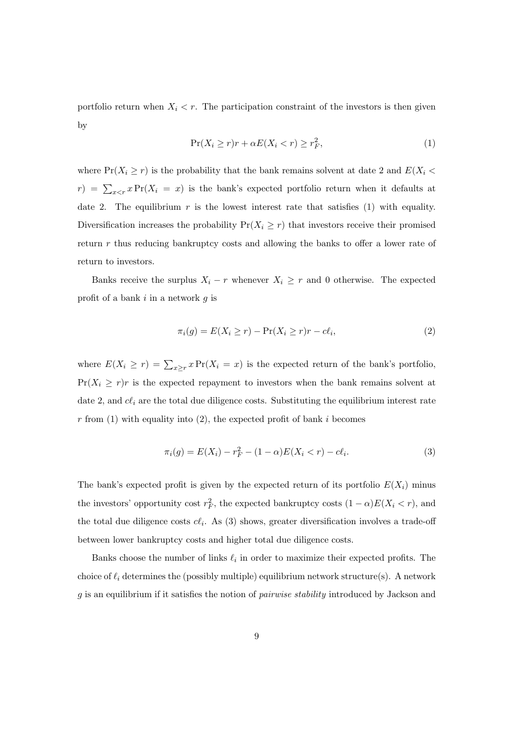portfolio return when  $X_i < r$ . The participation constraint of the investors is then given by

$$
\Pr(X_i \ge r)r + \alpha E(X_i < r) \ge r_F^2,\tag{1}
$$

where  $Pr(X_i \ge r)$  is the probability that the bank remains solvent at date 2 and  $E(X_i \le r)$  $(r) = \sum_{x \leq r} x \Pr(X_i = x)$  is the bank's expected portfolio return when it defaults at date 2. The equilibrium  $r$  is the lowest interest rate that satisfies (1) with equality. Diversification increases the probability  $Pr(X_i \geq r)$  that investors receive their promised return  $r$  thus reducing bankruptcy costs and allowing the banks to offer a lower rate of return to investors.

Banks receive the surplus  $X_i - r$  whenever  $X_i \geq r$  and 0 otherwise. The expected profit of a bank  $i$  in a network  $g$  is

$$
\pi_i(g) = E(X_i \ge r) - \Pr(X_i \ge r)r - c\ell_i,
$$
\n(2)

where  $E(X_i \ge r) = \sum_{x \ge r} x \Pr(X_i = x)$  is the expected return of the bank's portfolio,  $Pr(X_i \geq r)r$  is the expected repayment to investors when the bank remains solvent at date 2, and  $c\ell_i$  are the total due diligence costs. Substituting the equilibrium interest rate  $r$  from (1) with equality into (2), the expected profit of bank i becomes

$$
\pi_i(g) = E(X_i) - r_F^2 - (1 - \alpha)E(X_i < r) - c\ell_i. \tag{3}
$$

The bank's expected profit is given by the expected return of its portfolio  $E(X_i)$  minus the investors' opportunity cost  $r_F^2$ , the expected bankruptcy costs  $(1 - \alpha)E(X_i < r)$ , and the total due diligence costs  $c\ell_i$ . As (3) shows, greater diversification involves a trade-off between lower bankruptcy costs and higher total due diligence costs.

Banks choose the number of links  $\ell_i$  in order to maximize their expected profits. The choice of  $\ell_i$  determines the (possibly multiple) equilibrium network structure(s). A network  $g$  is an equilibrium if it satisfies the notion of *pairwise stability* introduced by Jackson and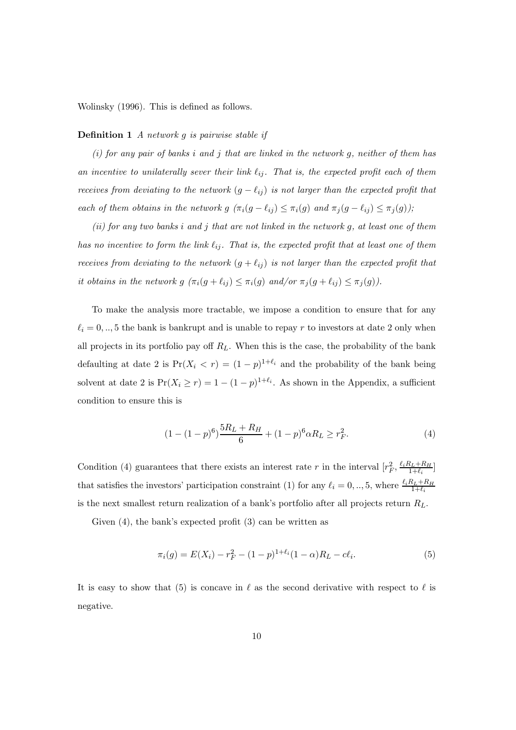Wolinsky (1996). This is defined as follows.

#### **Definition 1** A network g is pairwise stable if

(i) for any pair of banks i and j that are linked in the network g, neither of them has an incentive to unilaterally sever their link  $\ell_{ij}$ . That is, the expected profit each of them receives from deviating to the network  $(g - \ell_{ij})$  is not larger than the expected profit that each of them obtains in the network  $g(\pi_i(g - \ell_{ij}) \leq \pi_i(g)$  and  $\pi_j(g - \ell_{ij}) \leq \pi_j(g)$ );

 $(ii)$  for any two banks i and j that are not linked in the network g, at least one of them has no incentive to form the link  $\ell_{ij}$ . That is, the expected profit that at least one of them receives from deviating to the network  $(g + \ell_{ij})$  is not larger than the expected profit that it obtains in the network  $g(\pi_i(g + \ell_{ij}) \leq \pi_i(g) \text{ and/or } \pi_j(g + \ell_{ij}) \leq \pi_j(g)).$ 

To make the analysis more tractable, we impose a condition to ensure that for any  $\ell_i = 0, ..., 5$  the bank is bankrupt and is unable to repay r to investors at date 2 only when all projects in its portfolio pay off  $R_L$ . When this is the case, the probability of the bank defaulting at date 2 is  $Pr(X_i < r) = (1 - p)^{1 + \ell_i}$  and the probability of the bank being solvent at date 2 is  $Pr(X_i \ge r) = 1 - (1 - p)^{1 + \ell_i}$ . As shown in the Appendix, a sufficient condition to ensure this is

$$
(1 - (1 - p)^6) \frac{5R_L + R_H}{6} + (1 - p)^6 \alpha R_L \ge r_F^2.
$$
 (4)

Condition (4) guarantees that there exists an interest rate r in the interval  $[r_F^2, \frac{\ell_i R_L + R_H}{1 + \ell_i}]$ that satisfies the investors' participation constraint (1) for any  $\ell_i = 0, ..., 5$ , where  $\frac{\ell_i R_L + R_H}{1 + \ell_i}$ is the next smallest return realization of a bank's portfolio after all projects return  $R_L$ .

Given (4), the bank's expected profit (3) can be written as

$$
\pi_i(g) = E(X_i) - r_F^2 - (1 - p)^{1 + \ell_i} (1 - \alpha) R_L - c \ell_i.
$$
\n(5)

It is easy to show that (5) is concave in  $\ell$  as the second derivative with respect to  $\ell$  is negative.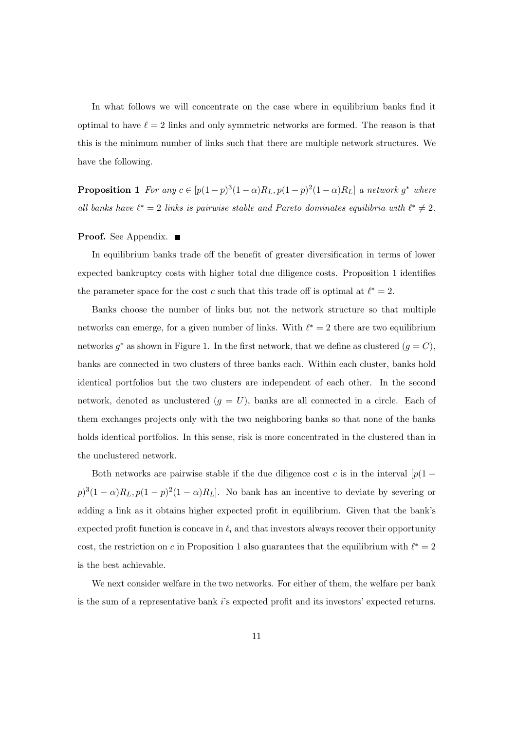In what follows we will concentrate on the case where in equilibrium banks find it optimal to have  $\ell = 2$  links and only symmetric networks are formed. The reason is that this is the minimum number of links such that there are multiple network structures. We have the following.

**Proposition 1** For any  $c \in [p(1-p)^3(1-\alpha)R_L, p(1-p)^2(1-\alpha)R_L]$  a network  $g^*$  where all banks have  $\ell^* = 2$  links is pairwise stable and Pareto dominates equilibria with  $\ell^* \neq 2$ .

#### **Proof.** See Appendix. ■

In equilibrium banks trade off the benefit of greater diversification in terms of lower expected bankruptcy costs with higher total due diligence costs. Proposition 1 identifies the parameter space for the cost c such that this trade off is optimal at  $\ell^* = 2$ .

Banks choose the number of links but not the network structure so that multiple networks can emerge, for a given number of links. With  $\ell^* = 2$  there are two equilibrium networks  $g^*$  as shown in Figure 1. In the first network, that we define as clustered  $(g = C)$ , banks are connected in two clusters of three banks each. Within each cluster, banks hold identical portfolios but the two clusters are independent of each other. In the second network, denoted as unclustered  $(g = U)$ , banks are all connected in a circle. Each of them exchanges projects only with the two neighboring banks so that none of the banks holds identical portfolios. In this sense, risk is more concentrated in the clustered than in the unclustered network.

Both networks are pairwise stable if the due diligence cost c is in the interval  $[p(1$  $p)^3(1 - \alpha)R_L$ ,  $p(1 - p)^2(1 - \alpha)R_L$ . No bank has an incentive to deviate by severing or adding a link as it obtains higher expected profit in equilibrium. Given that the bank's expected profit function is concave in  $\ell_i$  and that investors always recover their opportunity cost, the restriction on c in Proposition 1 also guarantees that the equilibrium with  $\ell^* = 2$ is the best achievable.

We next consider welfare in the two networks. For either of them, the welfare per bank is the sum of a representative bank  $i$ 's expected profit and its investors' expected returns.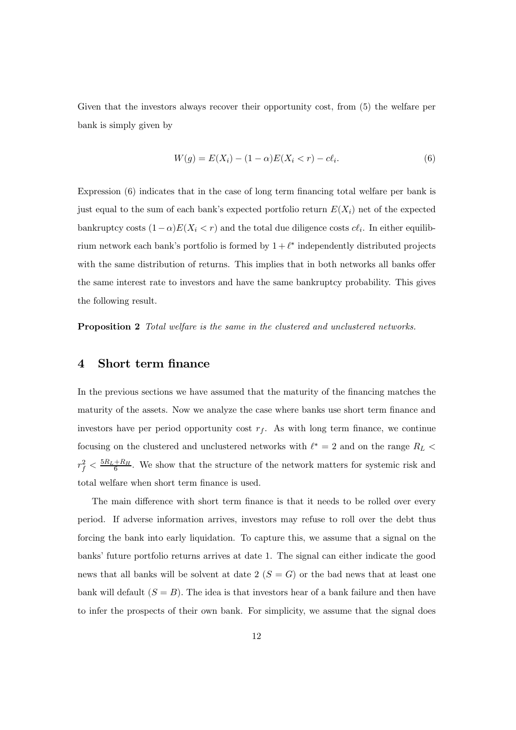Given that the investors always recover their opportunity cost, from (5) the welfare per bank is simply given by

$$
W(g) = E(X_i) - (1 - \alpha)E(X_i < r) - c\ell_i. \tag{6}
$$

Expression (6) indicates that in the case of long term financing total welfare per bank is just equal to the sum of each bank's expected portfolio return  $E(X_i)$  net of the expected bankruptcy costs  $(1-\alpha)E(X_i < r)$  and the total due diligence costs  $c\ell_i$ . In either equilibrium network each bank's portfolio is formed by  $1 + \ell^*$  independently distributed projects with the same distribution of returns. This implies that in both networks all banks offer the same interest rate to investors and have the same bankruptcy probability. This gives the following result.

Proposition 2 Total welfare is the same in the clustered and unclustered networks.

#### 4 Short term finance

In the previous sections we have assumed that the maturity of the financing matches the maturity of the assets. Now we analyze the case where banks use short term finance and investors have per period opportunity cost  $r_f$ . As with long term finance, we continue focusing on the clustered and unclustered networks with  $\ell^*$  = 2 and on the range  $R_L$   $<$  $r_f^2 < \frac{5R_L+R_H}{6}$ . We show that the structure of the network matters for systemic risk and total welfare when short term finance is used.

The main difference with short term finance is that it needs to be rolled over every period. If adverse information arrives, investors may refuse to roll over the debt thus forcing the bank into early liquidation. To capture this, we assume that a signal on the banks' future portfolio returns arrives at date 1. The signal can either indicate the good news that all banks will be solvent at date  $2(S = G)$  or the bad news that at least one bank will default  $(S = B)$ . The idea is that investors hear of a bank failure and then have to infer the prospects of their own bank. For simplicity, we assume that the signal does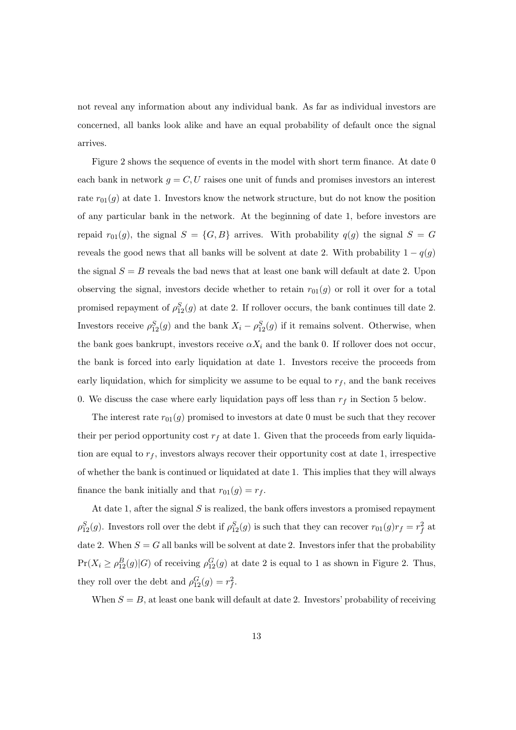not reveal any information about any individual bank. As far as individual investors are concerned, all banks look alike and have an equal probability of default once the signal arrives.

Figure 2 shows the sequence of events in the model with short term finance. At date 0 each bank in network  $g = C, U$  raises one unit of funds and promises investors an interest rate  $r_{01}(g)$  at date 1. Investors know the network structure, but do not know the position of any particular bank in the network. At the beginning of date 1, before investors are repaid  $r_{01}(g)$ , the signal  $S = \{G, B\}$  arrives. With probability  $q(g)$  the signal  $S = G$ reveals the good news that all banks will be solvent at date 2. With probability  $1 - q(g)$ the signal  $S = B$  reveals the bad news that at least one bank will default at date 2. Upon observing the signal, investors decide whether to retain  $r_{01}(g)$  or roll it over for a total promised repayment of  $\rho_{12}^S(g)$  at date 2. If rollover occurs, the bank continues till date 2. Investors receive  $\rho_{12}^S(g)$  and the bank  $X_i - \rho_{12}^S(g)$  if it remains solvent. Otherwise, when the bank goes bankrupt, investors receive  $\alpha X_i$  and the bank 0. If rollover does not occur, the bank is forced into early liquidation at date 1. Investors receive the proceeds from early liquidation, which for simplicity we assume to be equal to  $r_f$ , and the bank receives 0. We discuss the case where early liquidation pays off less than  $r_f$  in Section 5 below.

The interest rate  $r_{01}(g)$  promised to investors at date 0 must be such that they recover their per period opportunity cost  $r_f$  at date 1. Given that the proceeds from early liquidation are equal to  $r_f$ , investors always recover their opportunity cost at date 1, irrespective of whether the bank is continued or liquidated at date 1. This implies that they will always finance the bank initially and that  $r_{01}(g) = r_f$ .

At date 1, after the signal  $S$  is realized, the bank offers investors a promised repayment  $\rho_{12}^S(g)$ . Investors roll over the debt if  $\rho_{12}^S(g)$  is such that they can recover  $r_{01}(g)r_f = r_f^2$  at date 2. When  $S = G$  all banks will be solvent at date 2. Investors infer that the probability  $Pr(X_i \ge \rho_{12}^B(g)|G)$  of receiving  $\rho_{12}^G(g)$  at date 2 is equal to 1 as shown in Figure 2. Thus, they roll over the debt and  $\rho_{12}^G(g) = r_f^2$ .

When  $S = B$ , at least one bank will default at date 2. Investors' probability of receiving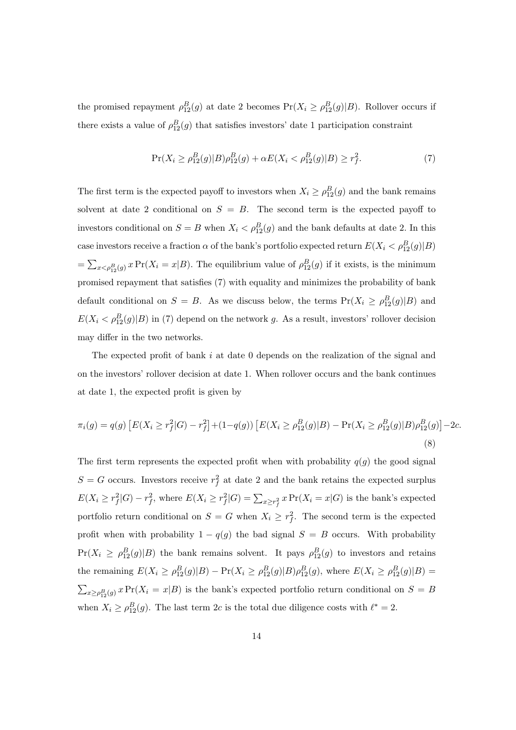the promised repayment  $\rho_{12}^B(g)$  at date 2 becomes  $Pr(X_i \geq \rho_{12}^B(g)|B)$ . Rollover occurs if there exists a value of  $\rho_{12}^B(g)$  that satisfies investors' date 1 participation constraint

$$
\Pr(X_i \ge \rho_{12}^B(g)|B)\rho_{12}^B(g) + \alpha E(X_i < \rho_{12}^B(g)|B) \ge r_f^2. \tag{7}
$$

The first term is the expected payoff to investors when  $X_i \geq \rho_{12}^B(g)$  and the bank remains solvent at date 2 conditional on  $S = B$ . The second term is the expected payoff to investors conditional on  $S = B$  when  $X_i < \rho_{12}^B(g)$  and the bank defaults at date 2. In this case investors receive a fraction  $\alpha$  of the bank's portfolio expected return  $E(X_i < \rho_{12}^B(g)|B)$ =  $\sum_{x < \rho_{12}^B(g)} x \Pr(X_i = x | B)$ . The equilibrium value of  $\rho_{12}^B(g)$  if it exists, is the minimum promised repayment that satisfies (7) with equality and minimizes the probability of bank default conditional on  $S = B$ . As we discuss below, the terms  $Pr(X_i \ge \rho_{12}^B(g)|B)$  and  $E(X_i < \rho_{12}^B(g)|B)$  in (7) depend on the network g. As a result, investors' rollover decision may differ in the two networks.

The expected profit of bank  $i$  at date 0 depends on the realization of the signal and on the investors' rollover decision at date 1. When rollover occurs and the bank continues at date 1, the expected profit is given by

$$
\pi_i(g) = q(g) \left[ E(X_i \ge r_f^2 | G) - r_f^2 \right] + (1 - q(g)) \left[ E(X_i \ge \rho_{12}^B(g) | B) - \Pr(X_i \ge \rho_{12}^B(g) | B) \rho_{12}^B(g) \right] - 2c.
$$
\n(8)

The first term represents the expected profit when with probability  $q(g)$  the good signal  $S = G$  occurs. Investors receive  $r_f^2$  at date 2 and the bank retains the expected surplus  $E(X_i \geq r_f^2 | G) - r_f^2$ , where  $E(X_i \geq r_f^2 | G) = \sum_{x \geq r_f^2} x \Pr(X_i = x | G)$  is the bank's expected portfolio return conditional on  $S = G$  when  $X_i \geq r_f^2$ . The second term is the expected profit when with probability  $1 - q(g)$  the bad signal  $S = B$  occurs. With probability  $Pr(X_i \ge \rho_{12}^B(g)|B)$  the bank remains solvent. It pays  $\rho_{12}^B(g)$  to investors and retains the remaining  $E(X_i \ge \rho_{12}^B(g)|B) - \Pr(X_i \ge \rho_{12}^B(g)|B) \rho_{12}^B(g)$ , where  $E(X_i \ge \rho_{12}^B(g)|B) =$  $_{x\geq\rho_{12}^B(g)} x \Pr(X_i = x | B)$  is the bank's expected portfolio return conditional on  $S = B$ when  $X_i \geq \rho_{12}^B(g)$ . The last term 2c is the total due diligence costs with  $\ell^* = 2$ .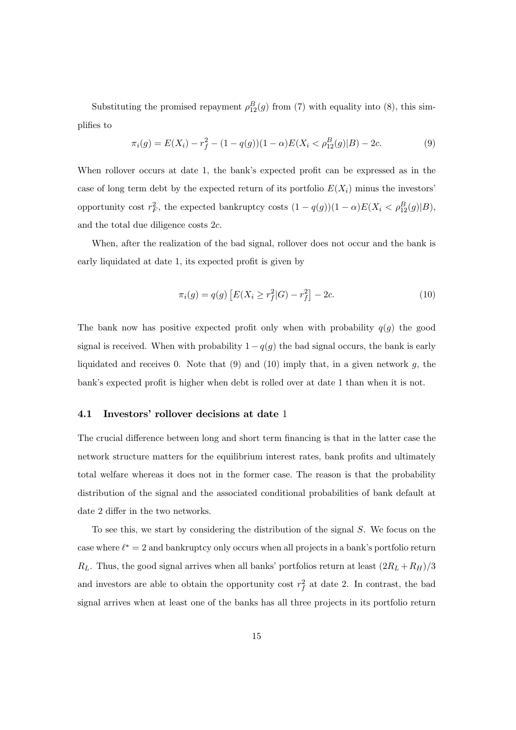Substituting the promised repayment  $\rho_{12}^B(g)$  from (7) with equality into (8), this simplifies to

$$
\pi_i(g) = E(X_i) - r_f^2 - (1 - q(g))(1 - \alpha)E(X_i < \rho_{12}^B(g)|B) - 2c. \tag{9}
$$

When rollover occurs at date 1, the bank's expected profit can be expressed as in the case of long term debt by the expected return of its portfolio  $E(X_i)$  minus the investors' opportunity cost  $r_F^2$ , the expected bankruptcy costs  $(1 - q(g))(1 - \alpha)E(X_i < \rho_{12}^B(g)|B)$ , and the total due diligence costs  $2c$ .

When, after the realization of the bad signal, rollover does not occur and the bank is early liquidated at date 1, its expected profit is given by

$$
\pi_i(g) = q(g) \left[ E(X_i \ge r_f^2 | G) - r_f^2 \right] - 2c. \tag{10}
$$

The bank now has positive expected profit only when with probability  $q(g)$  the good signal is received. When with probability  $1 - q(g)$  the bad signal occurs, the bank is early liquidated and receives 0. Note that  $(9)$  and  $(10)$  imply that, in a given network g, the bank's expected profit is higher when debt is rolled over at date 1 than when it is not.

#### 4.1 Investors' rollover decisions at date 1

The crucial difference between long and short term financing is that in the latter case the network structure matters for the equilibrium interest rates, bank profits and ultimately total welfare whereas it does not in the former case. The reason is that the probability distribution of the signal and the associated conditional probabilities of bank default at date 2 differ in the two networks.

To see this, we start by considering the distribution of the signal  $S$ . We focus on the case where  $\ell^* = 2$  and bankruptcy only occurs when all projects in a bank's portfolio return  $R_L$ . Thus, the good signal arrives when all banks' portfolios return at least  $(2R_L + R_H)/3$ and investors are able to obtain the opportunity cost  $r_f^2$  at date 2. In contrast, the bad signal arrives when at least one of the banks has all three projects in its portfolio return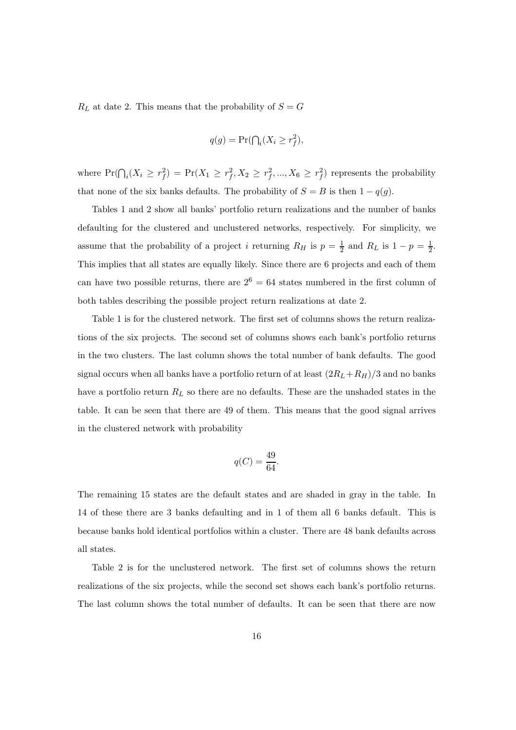$R_L$  at date 2. This means that the probability of  $S = G$ 

$$
q(g) = \Pr(\bigcap_i (X_i \ge r_f^2),
$$

where  $Pr(\bigcap_i (X_i \geq r_f^2) = Pr(X_1 \geq r_f^2, X_2 \geq r_f^2, ..., X_6 \geq r_f^2)$  represents the probability that none of the six banks defaults. The probability of  $S = B$  is then  $1 - q(g)$ .

Tables 1 and 2 show all banks' portfolio return realizations and the number of banks defaulting for the clustered and unclustered networks, respectively. For simplicity, we assume that the probability of a project i returning  $R_H$  is  $p = \frac{1}{2}$  and  $R_L$  is  $1 - p = \frac{1}{2}$ . This implies that all states are equally likely. Since there are 6 projects and each of them can have two possible returns, there are  $2^6 = 64$  states numbered in the first column of both tables describing the possible project return realizations at date 2.

Table 1 is for the clustered network. The first set of columns shows the return realizations of the six projects. The second set of columns shows each bank's portfolio returns in the two clusters. The last column shows the total number of bank defaults. The good signal occurs when all banks have a portfolio return of at least  $(2R_L+R_H)/3$  and no banks have a portfolio return  $R_L$  so there are no defaults. These are the unshaded states in the table. It can be seen that there are 49 of them. This means that the good signal arrives in the clustered network with probability

$$
q(C) = \frac{49}{64}.
$$

The remaining 15 states are the default states and are shaded in gray in the table. In 14 of these there are 3 banks defaulting and in 1 of them all 6 banks default. This is because banks hold identical portfolios within a cluster. There are 48 bank defaults across all states.

Table 2 is for the unclustered network. The first set of columns shows the return realizations of the six projects, while the second set shows each bank's portfolio returns. The last column shows the total number of defaults. It can be seen that there are now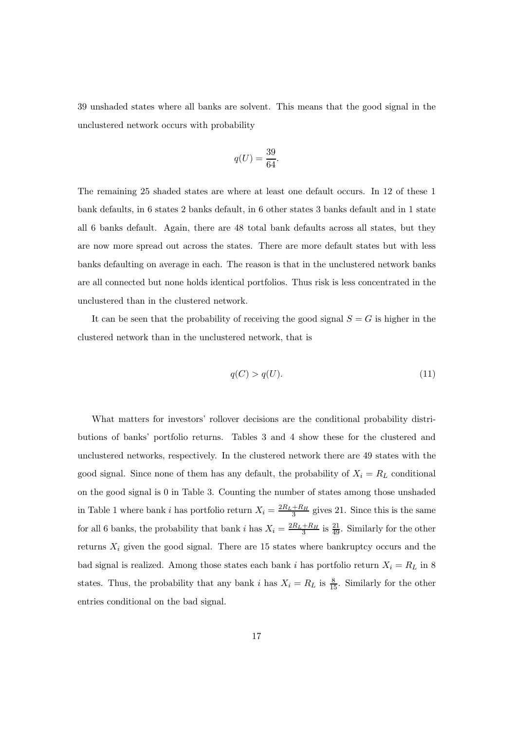39 unshaded states where all banks are solvent. This means that the good signal in the unclustered network occurs with probability

$$
q(U) = \frac{39}{64}.
$$

The remaining 25 shaded states are where at least one default occurs. In 12 of these 1 bank defaults, in 6 states 2 banks default, in 6 other states 3 banks default and in 1 state all 6 banks default. Again, there are 48 total bank defaults across all states, but they are now more spread out across the states. There are more default states but with less banks defaulting on average in each. The reason is that in the unclustered network banks are all connected but none holds identical portfolios. Thus risk is less concentrated in the unclustered than in the clustered network.

It can be seen that the probability of receiving the good signal  $S = G$  is higher in the clustered network than in the unclustered network, that is

$$
q(C) > q(U). \tag{11}
$$

What matters for investors' rollover decisions are the conditional probability distributions of banks' portfolio returns. Tables 3 and 4 show these for the clustered and unclustered networks, respectively. In the clustered network there are 49 states with the good signal. Since none of them has any default, the probability of  $X_i = R_L$  conditional on the good signal is 0 in Table 3. Counting the number of states among those unshaded in Table 1 where bank i has portfolio return  $X_i = \frac{2R_L + R_H}{3}$  gives 21. Since this is the same for all 6 banks, the probability that bank i has  $X_i = \frac{2R_L + R_H}{3}$  is  $\frac{21}{49}$ . Similarly for the other returns  $X_i$  given the good signal. There are 15 states where bankruptcy occurs and the bad signal is realized. Among those states each bank i has portfolio return  $X_i = R_L$  in 8 states. Thus, the probability that any bank i has  $X_i = R_L$  is  $\frac{8}{15}$ . Similarly for the other entries conditional on the bad signal.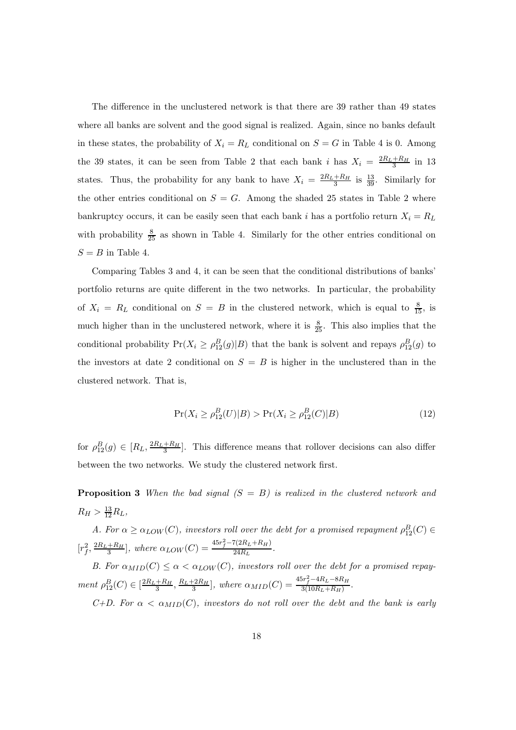The difference in the unclustered network is that there are 39 rather than 49 states where all banks are solvent and the good signal is realized. Again, since no banks default in these states, the probability of  $X_i = R_L$  conditional on  $S = G$  in Table 4 is 0. Among the 39 states, it can be seen from Table 2 that each bank i has  $X_i = \frac{2R_L + R_H}{3}$  in 13 states. Thus, the probability for any bank to have  $X_i = \frac{2R_L + R_H}{3}$  is  $\frac{13}{39}$ . Similarly for the other entries conditional on  $S = G$ . Among the shaded 25 states in Table 2 where bankruptcy occurs, it can be easily seen that each bank i has a portfolio return  $X_i = R_L$ with probability  $\frac{8}{25}$  as shown in Table 4. Similarly for the other entries conditional on  $S = B$  in Table 4.

Comparing Tables 3 and 4, it can be seen that the conditional distributions of banks' portfolio returns are quite different in the two networks. In particular, the probability of  $X_i = R_L$  conditional on  $S = B$  in the clustered network, which is equal to  $\frac{8}{15}$ , is much higher than in the unclustered network, where it is  $\frac{8}{25}$ . This also implies that the conditional probability  $Pr(X_i \ge \rho_{12}^B(g)|B)$  that the bank is solvent and repays  $\rho_{12}^B(g)$  to the investors at date 2 conditional on  $S = B$  is higher in the unclustered than in the clustered network. That is,

$$
\Pr(X_i \ge \rho_{12}^B(U)|B) > \Pr(X_i \ge \rho_{12}^B(C)|B) \tag{12}
$$

for  $\rho_{12}^B(g) \in [R_L, \frac{2R_L + R_H}{3}]$ . This difference means that rollover decisions can also differ between the two networks. We study the clustered network first.

**Proposition 3** When the bad signal  $(S = B)$  is realized in the clustered network and  $R_H > \frac{13}{12} R_L,$ 

A. For  $\alpha \geq \alpha_{LOW}(C)$ , investors roll over the debt for a promised repayment  $\rho^B_{12}(C) \in$  $[r_f^2, \frac{2R_L + R_H}{3}]$ , where  $\alpha_{LOW}(C) = \frac{45r_f^2 - 7(2R_L + R_H)}{24R_L}$ .

B. For  $\alpha_{MID}(C) \leq \alpha < \alpha_{LOW}(C)$ , investors roll over the debt for a promised repayment  $\rho_{12}^B(C) \in \left[\frac{2R_L + R_H}{3}, \frac{R_L + 2R_H}{3}\right]$ , where  $\alpha_{MID}(C) = \frac{45r_f^2 - 4R_L - 8R_H}{3(10R_L + R_H)}$ .

C+D. For  $\alpha < \alpha_{MID}(C)$ , investors do not roll over the debt and the bank is early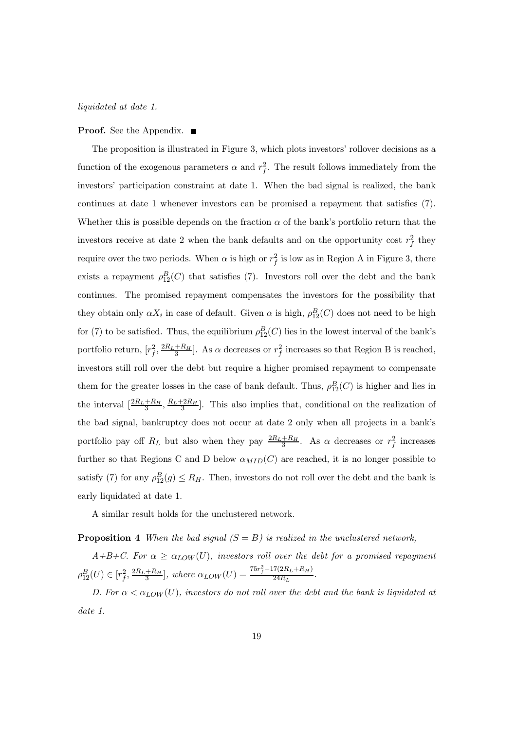liquidated at date 1.

#### **Proof.** See the Appendix. ■

The proposition is illustrated in Figure 3, which plots investors' rollover decisions as a function of the exogenous parameters  $\alpha$  and  $r_f^2$ . The result follows immediately from the investors' participation constraint at date 1. When the bad signal is realized, the bank continues at date 1 whenever investors can be promised a repayment that satisfies (7). Whether this is possible depends on the fraction  $\alpha$  of the bank's portfolio return that the investors receive at date 2 when the bank defaults and on the opportunity cost  $r_f^2$  they require over the two periods. When  $\alpha$  is high or  $r_f^2$  is low as in Region A in Figure 3, there exists a repayment  $\rho_{12}^B(C)$  that satisfies (7). Investors roll over the debt and the bank continues. The promised repayment compensates the investors for the possibility that they obtain only  $\alpha X_i$  in case of default. Given  $\alpha$  is high,  $\rho_{12}^B(C)$  does not need to be high for (7) to be satisfied. Thus, the equilibrium  $\rho_{12}^B(C)$  lies in the lowest interval of the bank's portfolio return,  $[r_f^2, \frac{2R_L+R_H}{3}]$ . As  $\alpha$  decreases or  $r_f^2$  increases so that Region B is reached, investors still roll over the debt but require a higher promised repayment to compensate them for the greater losses in the case of bank default. Thus,  $\rho_{12}^B(C)$  is higher and lies in the interval  $\left[\frac{2R_L+R_H}{3}, \frac{R_L+2R_H}{3}\right]$ . This also implies that, conditional on the realization of the bad signal, bankruptcy does not occur at date 2 only when all projects in a bank's portfolio pay off  $R_L$  but also when they pay  $\frac{2R_L+R_H}{3}$ . As  $\alpha$  decreases or  $r_f^2$  increases further so that Regions C and D below  $\alpha_{MID}(C)$  are reached, it is no longer possible to satisfy (7) for any  $\rho_{12}^B(g) \le R_H$ . Then, investors do not roll over the debt and the bank is early liquidated at date 1.

A similar result holds for the unclustered network.

**Proposition 4** When the bad signal  $(S = B)$  is realized in the unclustered network,

 $A+B+C$ . For  $\alpha \geq \alpha_{LOW}(U)$ , investors roll over the debt for a promised repayment  $\rho_{12}^{B}(U) \in [r_f^2, \frac{2R_L + R_H}{3}]$ , where  $\alpha_{LOW}(U) = \frac{75r_f^2 - 17(2R_L + R_H)}{24R_L}$ .

D. For  $\alpha < \alpha_{LOW}(U)$ , investors do not roll over the debt and the bank is liquidated at date 1.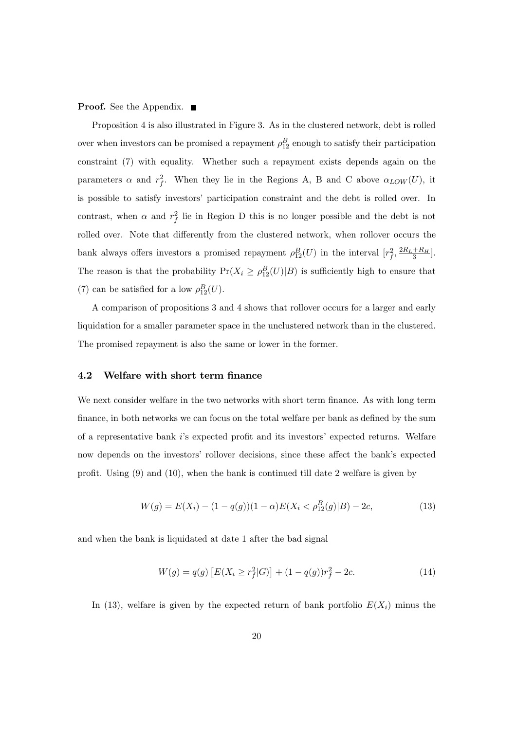#### **Proof.** See the Appendix. ■

Proposition 4 is also illustrated in Figure 3. As in the clustered network, debt is rolled over when investors can be promised a repayment  $\rho_{12}^B$  enough to satisfy their participation constraint (7) with equality. Whether such a repayment exists depends again on the parameters  $\alpha$  and  $r_f^2$ . When they lie in the Regions A, B and C above  $\alpha_{LOW}(U)$ , it is possible to satisfy investors' participation constraint and the debt is rolled over. In contrast, when  $\alpha$  and  $r_f^2$  lie in Region D this is no longer possible and the debt is not rolled over. Note that differently from the clustered network, when rollover occurs the bank always offers investors a promised repayment  $\rho_{12}^B(U)$  in the interval  $[r_f^2, \frac{2R_L+R_H}{3}]$ . The reason is that the probability  $Pr(X_i \geq \rho_{12}^B(U)|B)$  is sufficiently high to ensure that (7) can be satisfied for a low  $\rho_{12}^B(U)$ .

A comparison of propositions 3 and 4 shows that rollover occurs for a larger and early liquidation for a smaller parameter space in the unclustered network than in the clustered. The promised repayment is also the same or lower in the former.

#### 4.2 Welfare with short term finance

We next consider welfare in the two networks with short term finance. As with long term finance, in both networks we can focus on the total welfare per bank as defined by the sum of a representative bank l's expected profit and its investors' expected returns. Welfare now depends on the investors' rollover decisions, since these affect the bank's expected profit. Using (9) and (10), when the bank is continued till date 2 welfare is given by

$$
W(g) = E(X_i) - (1 - q(g))(1 - \alpha)E(X_i < \rho_{12}^B(g)|B) - 2c,\tag{13}
$$

and when the bank is liquidated at date 1 after the bad signal

$$
W(g) = q(g) \left[ E(X_i \ge r_f^2 | G) \right] + (1 - q(g))r_f^2 - 2c.
$$
 (14)

In (13), welfare is given by the expected return of bank portfolio  $E(X_i)$  minus the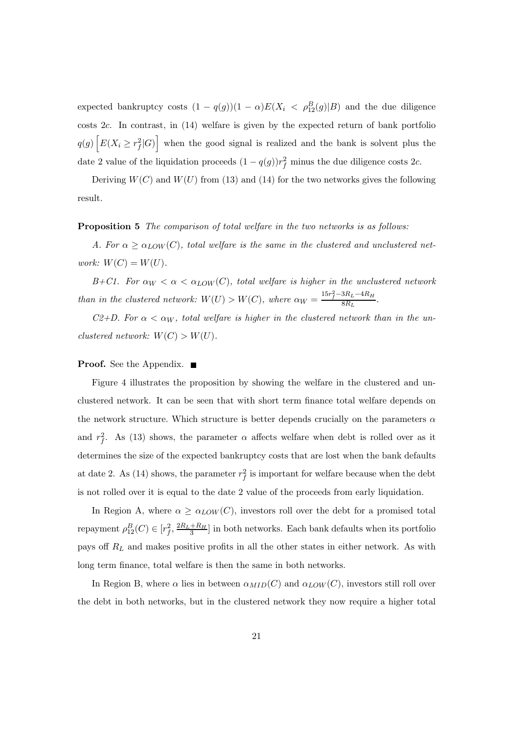expected bankruptcy costs  $(1 - q(g))(1 - \alpha)E(X_i < \rho_{12}^B(g)|B)$  and the due diligence costs 2c. In contrast, in (14) welfare is given by the expected return of bank portfolio  $q(g)$   $\Big[ E(X_i \geq r_f^2 | G) \Big]$  when the good signal is realized and the bank is solvent plus the date 2 value of the liquidation proceeds  $(1 - q(g))r_f^2$  minus the due diligence costs 2c.

Deriving  $W(C)$  and  $W(U)$  from (13) and (14) for the two networks gives the following result.

#### **Proposition 5** The comparison of total welfare in the two networks is as follows:

A. For  $\alpha \geq \alpha_{LOW}(C)$ , total welfare is the same in the clustered and unclustered network:  $W(C) = W(U)$ .

B+C1. For  $\alpha_W < \alpha < \alpha_{LOW}(C)$ , total welfare is higher in the unclustered network than in the clustered network:  $W(U) > W(C)$ , where  $\alpha_W = \frac{15r_f^2 - 3R_L - 4R_H}{8R_L}$ .

C2+D. For  $\alpha < \alpha_W$ , total welfare is higher in the clustered network than in the unclustered network:  $W(C) > W(U)$ .

#### **Proof.** See the Appendix. ■

Figure 4 illustrates the proposition by showing the welfare in the clustered and unclustered network. It can be seen that with short term finance total welfare depends on the network structure. Which structure is better depends crucially on the parameters  $\alpha$ and  $r_f^2$ . As (13) shows, the parameter  $\alpha$  affects welfare when debt is rolled over as it determines the size of the expected bankruptcy costs that are lost when the bank defaults at date 2. As (14) shows, the parameter  $r_f^2$  is important for welfare because when the debt is not rolled over it is equal to the date 2 value of the proceeds from early liquidation.

In Region A, where  $\alpha \geq \alpha_{LOW}(C)$ , investors roll over the debt for a promised total repayment  $\rho_{12}^B(C) \in [r_f^2, \frac{2R_L + R_H}{3}]$  in both networks. Each bank defaults when its portfolio pays off  $R_L$  and makes positive profits in all the other states in either network. As with long term finance, total welfare is then the same in both networks.

In Region B, where  $\alpha$  lies in between  $\alpha_{MID}(C)$  and  $\alpha_{LOW}(C)$ , investors still roll over the debt in both networks, but in the clustered network they now require a higher total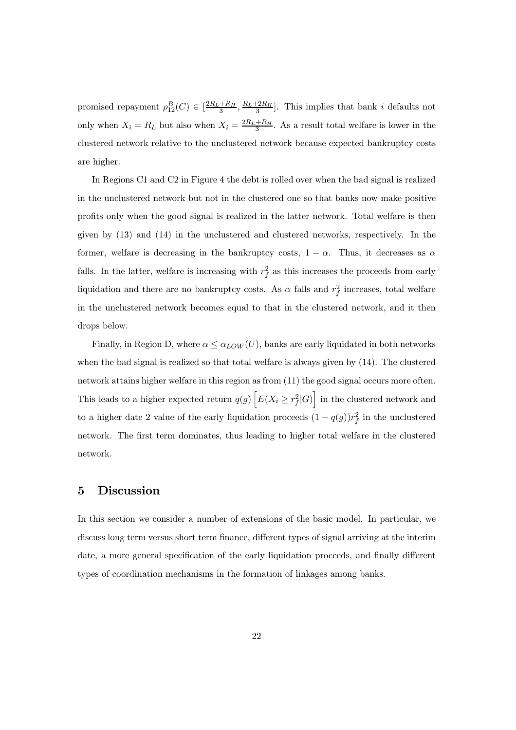promised repayment  $\rho_{12}^B(C) \in \left[\frac{2R_L + R_H}{3}, \frac{R_L + 2R_H}{3}\right]$ . This implies that bank *i* defaults not only when  $X_i = R_L$  but also when  $X_i = \frac{2R_L + R_H}{3}$ . As a result total welfare is lower in the clustered network relative to the unclustered network because expected bankruptcy costs are higher.

In Regions C1 and C2 in Figure 4 the debt is rolled over when the bad signal is realized in the unclustered network but not in the clustered one so that banks now make positive profits only when the good signal is realized in the latter network. Total welfare is then given by (13) and (14) in the unclustered and clustered networks, respectively. In the former, welfare is decreasing in the bankruptcy costs,  $1 - \alpha$ . Thus, it decreases as  $\alpha$ falls. In the latter, welfare is increasing with  $r_f^2$  as this increases the proceeds from early liquidation and there are no bankruptcy costs. As  $\alpha$  falls and  $r_f^2$  increases, total welfare in the unclustered network becomes equal to that in the clustered network, and it then drops below.

Finally, in Region D, where  $\alpha \leq \alpha_{LOW}(U)$ , banks are early liquidated in both networks when the bad signal is realized so that total welfare is always given by (14). The clustered network attains higher welfare in this region as from (11) the good signal occurs more often. This leads to a higher expected return  $q(g)$   $\Big[ E(X_i \geq r_f^2 | G) \Big]$  in the clustered network and to a higher date 2 value of the early liquidation proceeds  $(1 - q(g))r_f^2$  in the unclustered network. The first term dominates, thus leading to higher total welfare in the clustered network.

#### 5 Discussion

In this section we consider a number of extensions of the basic model. In particular, we discuss long term versus short term finance, different types of signal arriving at the interim date, a more general specification of the early liquidation proceeds, and finally different types of coordination mechanisms in the formation of linkages among banks.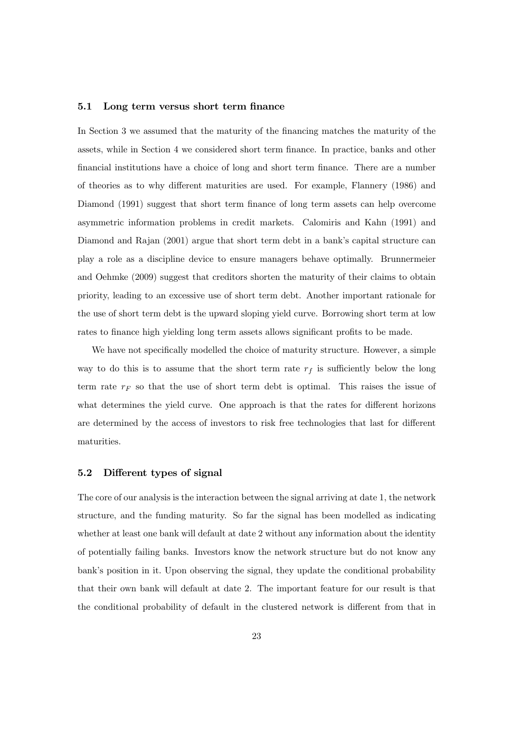#### 5.1 Long term versus short term finance

In Section 3 we assumed that the maturity of the financing matches the maturity of the assets, while in Section 4 we considered short term finance. In practice, banks and other financial institutions have a choice of long and short term finance. There are a number of theories as to why different maturities are used. For example, Flannery (1986) and Diamond (1991) suggest that short term finance of long term assets can help overcome asymmetric information problems in credit markets. Calomiris and Kahn (1991) and Diamond and Rajan (2001) argue that short term debt in a bank's capital structure can play a role as a discipline device to ensure managers behave optimally. Brunnermeier and Oehmke (2009) suggest that creditors shorten the maturity of their claims to obtain priority, leading to an excessive use of short term debt. Another important rationale for the use of short term debt is the upward sloping yield curve. Borrowing short term at low rates to finance high yielding long term assets allows significant profits to be made.

We have not specifically modelled the choice of maturity structure. However, a simple way to do this is to assume that the short term rate  $r_f$  is sufficiently below the long term rate  $r_F$  so that the use of short term debt is optimal. This raises the issue of what determines the yield curve. One approach is that the rates for different horizons are determined by the access of investors to risk free technologies that last for different maturities.

#### 5.2 Different types of signal

The core of our analysis is the interaction between the signal arriving at date 1, the network structure, and the funding maturity. So far the signal has been modelled as indicating whether at least one bank will default at date 2 without any information about the identity of potentially failing banks. Investors know the network structure but do not know any bank's position in it. Upon observing the signal, they update the conditional probability that their own bank will default at date 2. The important feature for our result is that the conditional probability of default in the clustered network is different from that in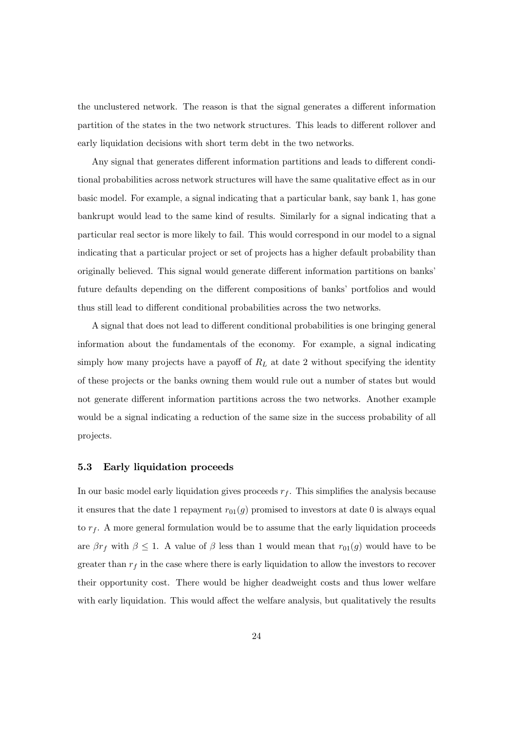the unclustered network. The reason is that the signal generates a different information partition of the states in the two network structures. This leads to different rollover and early liquidation decisions with short term debt in the two networks.

Any signal that generates different information partitions and leads to different conditional probabilities across network structures will have the same qualitative effect as in our basic model. For example, a signal indicating that a particular bank, say bank 1, has gone bankrupt would lead to the same kind of results. Similarly for a signal indicating that a particular real sector is more likely to fail. This would correspond in our model to a signal indicating that a particular project or set of projects has a higher default probability than originally believed. This signal would generate different information partitions on banks' future defaults depending on the different compositions of banks' portfolios and would thus still lead to different conditional probabilities across the two networks.

A signal that does not lead to different conditional probabilities is one bringing general information about the fundamentals of the economy. For example, a signal indicating simply how many projects have a payoff of  $R_L$  at date 2 without specifying the identity of these projects or the banks owning them would rule out a number of states but would not generate different information partitions across the two networks. Another example would be a signal indicating a reduction of the same size in the success probability of all projects.

#### 5.3 Early liquidation proceeds

In our basic model early liquidation gives proceeds  $r_f$ . This simplifies the analysis because it ensures that the date 1 repayment  $r_{01}(g)$  promised to investors at date 0 is always equal to  $r_f$ . A more general formulation would be to assume that the early liquidation proceeds are  $\beta r_f$  with  $\beta \leq 1$ . A value of  $\beta$  less than 1 would mean that  $r_{01}(g)$  would have to be greater than  $r_f$  in the case where there is early liquidation to allow the investors to recover their opportunity cost. There would be higher deadweight costs and thus lower welfare with early liquidation. This would affect the welfare analysis, but qualitatively the results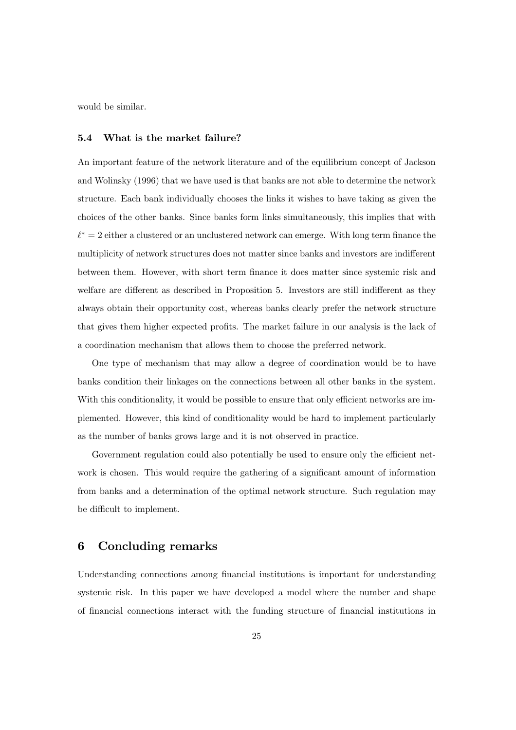would be similar.

#### 5.4 What is the market failure?

An important feature of the network literature and of the equilibrium concept of Jackson and Wolinsky (1996) that we have used is that banks are not able to determine the network structure. Each bank individually chooses the links it wishes to have taking as given the choices of the other banks. Since banks form links simultaneously, this implies that with  $\ell^* = 2$  either a clustered or an unclustered network can emerge. With long term finance the multiplicity of network structures does not matter since banks and investors are indifferent between them. However, with short term finance it does matter since systemic risk and welfare are different as described in Proposition 5. Investors are still indifferent as they always obtain their opportunity cost, whereas banks clearly prefer the network structure that gives them higher expected profits. The market failure in our analysis is the lack of a coordination mechanism that allows them to choose the preferred network.

One type of mechanism that may allow a degree of coordination would be to have banks condition their linkages on the connections between all other banks in the system. With this conditionality, it would be possible to ensure that only efficient networks are implemented. However, this kind of conditionality would be hard to implement particularly as the number of banks grows large and it is not observed in practice.

Government regulation could also potentially be used to ensure only the efficient network is chosen. This would require the gathering of a significant amount of information from banks and a determination of the optimal network structure. Such regulation may be difficult to implement.

#### 6 Concluding remarks

Understanding connections among financial institutions is important for understanding systemic risk. In this paper we have developed a model where the number and shape of financial connections interact with the funding structure of financial institutions in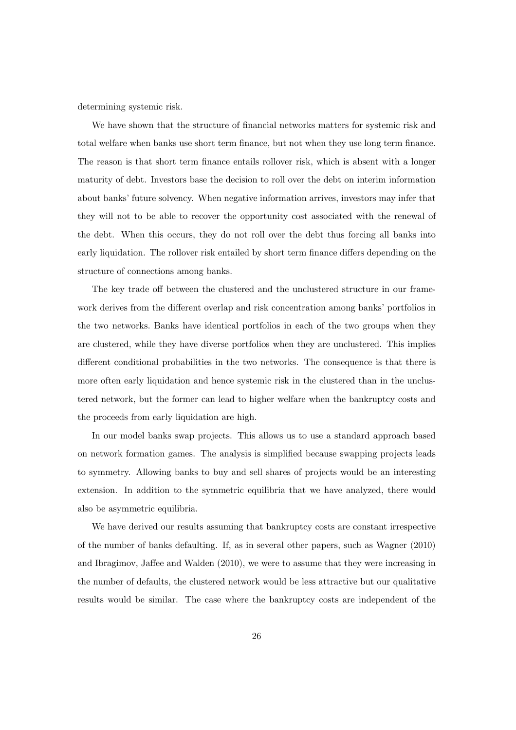determining systemic risk.

We have shown that the structure of financial networks matters for systemic risk and total welfare when banks use short term finance, but not when they use long term finance. The reason is that short term finance entails rollover risk, which is absent with a longer maturity of debt. Investors base the decision to roll over the debt on interim information about banks' future solvency. When negative information arrives, investors may infer that they will not to be able to recover the opportunity cost associated with the renewal of the debt. When this occurs, they do not roll over the debt thus forcing all banks into early liquidation. The rollover risk entailed by short term finance differs depending on the structure of connections among banks.

The key trade off between the clustered and the unclustered structure in our framework derives from the different overlap and risk concentration among banks' portfolios in the two networks. Banks have identical portfolios in each of the two groups when they are clustered, while they have diverse portfolios when they are unclustered. This implies different conditional probabilities in the two networks. The consequence is that there is more often early liquidation and hence systemic risk in the clustered than in the unclustered network, but the former can lead to higher welfare when the bankruptcy costs and the proceeds from early liquidation are high.

In our model banks swap projects. This allows us to use a standard approach based on network formation games. The analysis is simplified because swapping projects leads to symmetry. Allowing banks to buy and sell shares of projects would be an interesting extension. In addition to the symmetric equilibria that we have analyzed, there would also be asymmetric equilibria.

We have derived our results assuming that bankruptcy costs are constant irrespective of the number of banks defaulting. If, as in several other papers, such as Wagner (2010) and Ibragimov, Jaffee and Walden (2010), we were to assume that they were increasing in the number of defaults, the clustered network would be less attractive but our qualitative results would be similar. The case where the bankruptcy costs are independent of the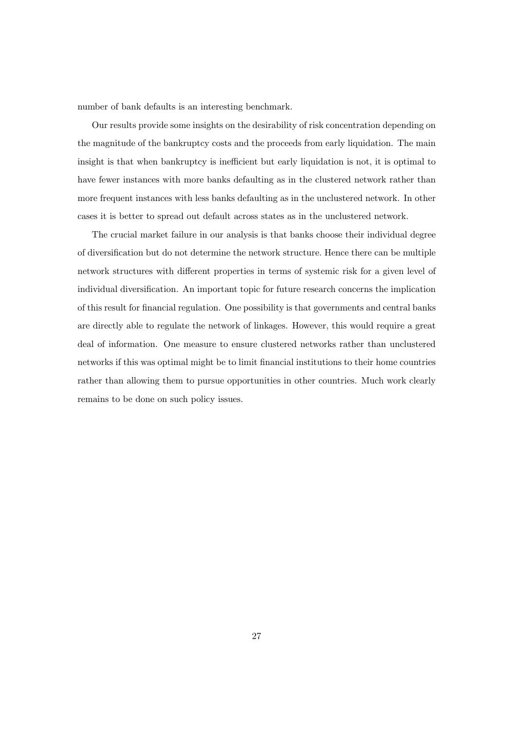number of bank defaults is an interesting benchmark.

Our results provide some insights on the desirability of risk concentration depending on the magnitude of the bankruptcy costs and the proceeds from early liquidation. The main insight is that when bankruptcy is inefficient but early liquidation is not, it is optimal to have fewer instances with more banks defaulting as in the clustered network rather than more frequent instances with less banks defaulting as in the unclustered network. In other cases it is better to spread out default across states as in the unclustered network.

The crucial market failure in our analysis is that banks choose their individual degree of diversification but do not determine the network structure. Hence there can be multiple network structures with different properties in terms of systemic risk for a given level of individual diversification. An important topic for future research concerns the implication of this result for financial regulation. One possibility is that governments and central banks are directly able to regulate the network of linkages. However, this would require a great deal of information. One measure to ensure clustered networks rather than unclustered networks if this was optimal might be to limit financial institutions to their home countries rather than allowing them to pursue opportunities in other countries. Much work clearly remains to be done on such policy issues.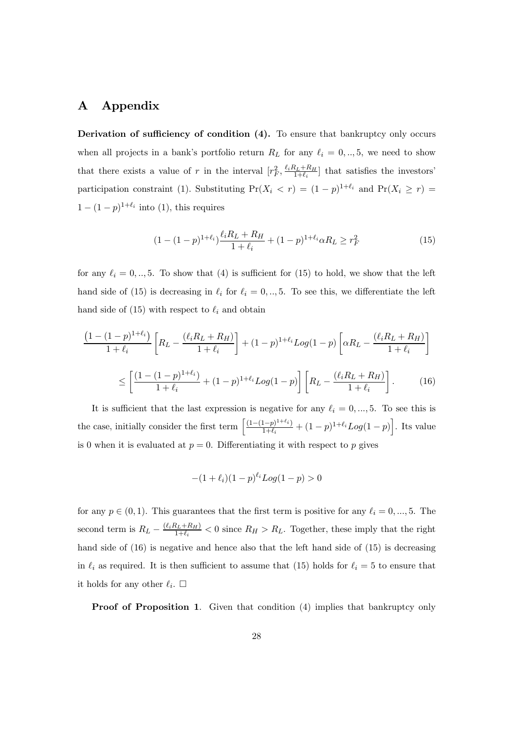#### A Appendix

Derivation of sufficiency of condition  $(4)$ . To ensure that bankruptcy only occurs when all projects in a bank's portfolio return  $R_L$  for any  $\ell_i = 0, \ldots, 5$ , we need to show that there exists a value of r in the interval  $[r_F^2, \frac{\ell_i R_L + R_H}{1 + \ell_i}]$  that satisfies the investors' participation constraint (1). Substituting  $Pr(X_i < r) = (1 - p)^{1 + \ell_i}$  and  $Pr(X_i \geq r) =$  $1 - (1 - p)^{1+\ell_i}$  into (1), this requires

$$
(1 - (1 - p)^{1 + \ell_i}) \frac{\ell_i R_L + R_H}{1 + \ell_i} + (1 - p)^{1 + \ell_i} \alpha R_L \ge r_F^2
$$
\n<sup>(15)</sup>

for any  $\ell_i = 0, ..., 5$ . To show that (4) is sufficient for (15) to hold, we show that the left hand side of (15) is decreasing in  $\ell_i$  for  $\ell_i = 0, \ldots, 5$ . To see this, we differentiate the left hand side of (15) with respect to  $\ell_i$  and obtain

$$
\frac{\left(1 - (1 - p)^{1 + \ell_i}\right)}{1 + \ell_i} \left[R_L - \frac{(\ell_i R_L + R_H)}{1 + \ell_i}\right] + (1 - p)^{1 + \ell_i} Log(1 - p) \left[\alpha R_L - \frac{(\ell_i R_L + R_H)}{1 + \ell_i}\right]
$$
\n
$$
\leq \left[\frac{(1 - (1 - p)^{1 + \ell_i})}{1 + \ell_i} + (1 - p)^{1 + \ell_i} Log(1 - p)\right] \left[R_L - \frac{(\ell_i R_L + R_H)}{1 + \ell_i}\right].
$$
\n(16)

It is sufficient that the last expression is negative for any  $\ell_i = 0, ..., 5$ . To see this is the case, initially consider the first term  $\left[ \frac{(1-(1-p)^{1+\ell_i})}{1+\ell_i} + (1-p)^{1+\ell_i} Log(1-p) \right]$ . Its value is 0 when it is evaluated at  $p = 0$ . Differentiating it with respect to p gives

$$
-(1+\ell_i)(1-p)^{\ell_i}Log(1-p) > 0
$$

for any  $p \in (0, 1)$ . This guarantees that the first term is positive for any  $\ell_i = 0, ..., 5$ . The second term is  $R_L - \frac{(\ell_i R_L + R_H)}{1 + \ell_i} < 0$  since  $R_H > R_L$ . Together, these imply that the right hand side of (16) is negative and hence also that the left hand side of (15) is decreasing in  $\ell_i$  as required. It is then sufficient to assume that (15) holds for  $\ell_i = 5$  to ensure that it holds for any other  $\ell_i$ .  $\Box$ 

Proof of Proposition 1. Given that condition (4) implies that bankruptcy only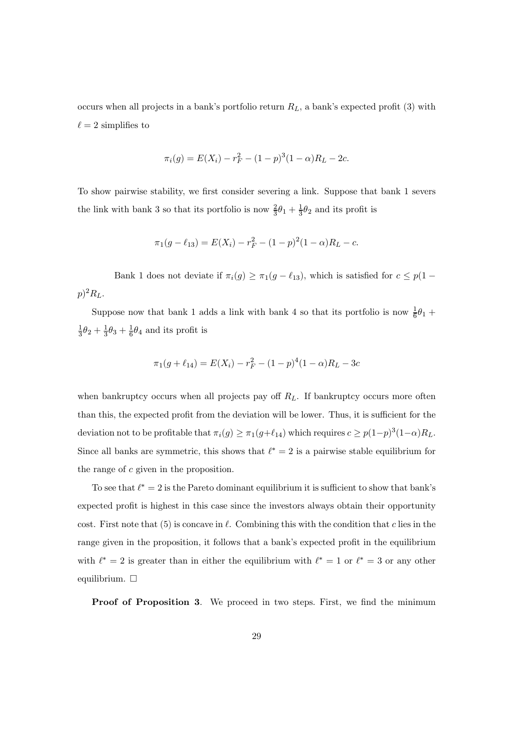occurs when all projects in a bank's portfolio return  $R_L$ , a bank's expected profit (3) with  $\ell = 2$  simplifies to

$$
\pi_i(g) = E(X_i) - r_F^2 - (1 - p)^3 (1 - \alpha) R_L - 2c.
$$

To show pairwise stability, we first consider severing a link. Suppose that bank 1 severs the link with bank 3 so that its portfolio is now  $\frac{2}{3}\theta_1 + \frac{1}{3}\theta_2$  and its profit is

$$
\pi_1(g - \ell_{13}) = E(X_i) - r_F^2 - (1 - p)^2 (1 - \alpha) R_L - c.
$$

Bank 1 does not deviate if  $\pi_i(g) \geq \pi_1(g - \ell_{13})$ , which is satisfied for  $c \leq p(1 - \ell_{13})$  $p)^2R_L$ .

Suppose now that bank 1 adds a link with bank 4 so that its portfolio is now  $\frac{1}{6}\theta_1 +$  $\frac{1}{3}\theta_2 + \frac{1}{3}\theta_3 + \frac{1}{6}\theta_4$  and its profit is

$$
\pi_1(g + \ell_{14}) = E(X_i) - r_F^2 - (1 - p)^4 (1 - \alpha) R_L - 3c
$$

when bankruptcy occurs when all projects pay off  $R_L$ . If bankruptcy occurs more often than this, the expected profit from the deviation will be lower. Thus, it is sufficient for the deviation not to be profitable that  $\pi_i(g) \geq \pi_1(g+\ell_{14})$  which requires  $c \geq p(1-p)^3(1-\alpha)R_L$ . Since all banks are symmetric, this shows that  $\ell^* = 2$  is a pairwise stable equilibrium for the range of  $c$  given in the proposition.

To see that  $\ell^* = 2$  is the Pareto dominant equilibrium it is sufficient to show that bank's expected profit is highest in this case since the investors always obtain their opportunity cost. First note that  $(5)$  is concave in  $\ell$ . Combining this with the condition that  $c$  lies in the range given in the proposition, it follows that a bank's expected profit in the equilibrium with  $\ell^* = 2$  is greater than in either the equilibrium with  $\ell^* = 1$  or  $\ell^* = 3$  or any other equilibrium.  $\square$ 

Proof of Proposition 3. We proceed in two steps. First, we find the minimum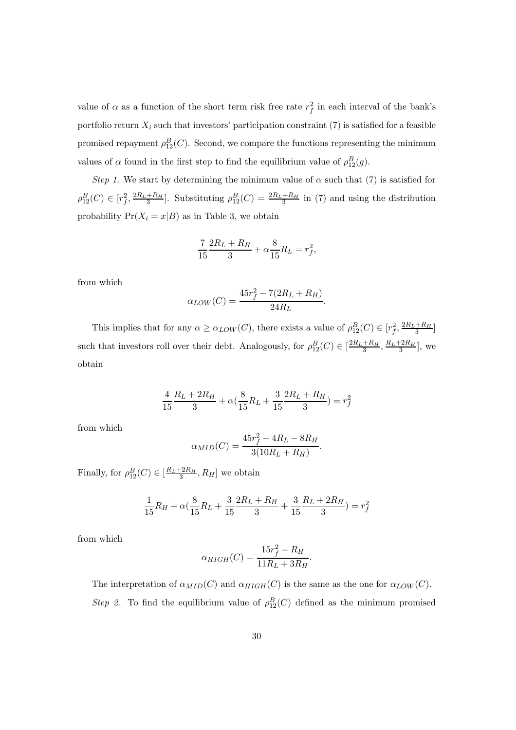value of  $\alpha$  as a function of the short term risk free rate  $r_f^2$  in each interval of the bank's portfolio return  $X_i$  such that investors' participation constraint (7) is satisfied for a feasible promised repayment  $\rho_{12}^B(C)$ . Second, we compare the functions representing the minimum values of  $\alpha$  found in the first step to find the equilibrium value of  $\rho_{12}^B(g)$ .

Step 1. We start by determining the minimum value of  $\alpha$  such that (7) is satisfied for  $\rho_{12}^B(C) \in [r_f^2, \frac{2R_L + R_H}{3}]$ . Substituting  $\rho_{12}^B(C) = \frac{2R_L + R_H}{3}$  in (7) and using the distribution probability  $Pr(X_i = x | B)$  as in Table 3, we obtain

$$
\frac{7}{15} \frac{2R_L + R_H}{3} + \alpha \frac{8}{15} R_L = r_f^2,
$$

from which

$$
\alpha_{LOW}(C) = \frac{45r_f^2 - 7(2R_L + R_H)}{24R_L}
$$

.

This implies that for any  $\alpha \geq \alpha_{LOW}(C)$ , there exists a value of  $\rho_{12}^B(C) \in [r_f^2, \frac{2R_L + R_H}{3}]$ such that investors roll over their debt. Analogously, for  $\rho_{12}^B(C) \in \left[\frac{2R_L + R_H}{3}, \frac{R_L + 2R_H}{3}\right]$ , we obtain

$$
\frac{4}{15}\frac{R_L + 2R_H}{3} + \alpha\left(\frac{8}{15}R_L + \frac{3}{15}\frac{2R_L + R_H}{3}\right) = r_f^2
$$

from which

$$
\alpha_{MID}(C) = \frac{45r_f^2 - 4R_L - 8R_H}{3(10R_L + R_H)}.
$$

Finally, for  $\rho_{12}^B(C) \in \left[\frac{R_L + 2R_H}{3}, R_H\right]$  we obtain

$$
\frac{1}{15}R_H + \alpha \left(\frac{8}{15}R_L + \frac{3}{15}\frac{2R_L + R_H}{3} + \frac{3}{15}\frac{R_L + 2R_H}{3}\right) = r_f^2
$$

from which

$$
\alpha_{HIGH}(C) = \frac{15r_f^2 - R_H}{11R_L + 3R_H}.
$$

The interpretation of  $\alpha_{MID}(C)$  and  $\alpha_{HIGH}(C)$  is the same as the one for  $\alpha_{LOW}(C)$ . Step 2. To find the equilibrium value of  $\rho_{12}^B(C)$  defined as the minimum promised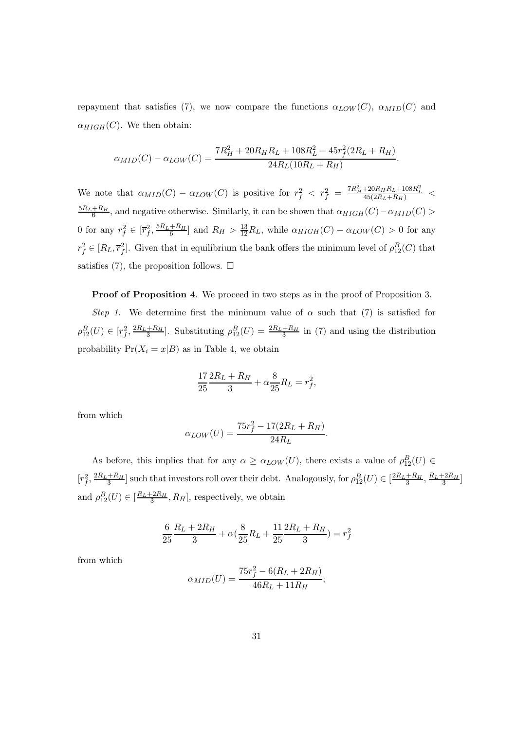repayment that satisfies (7), we now compare the functions  $\alpha_{LOW}(C)$ ,  $\alpha_{MID}(C)$  and  $\alpha_{HIGH}(C)$ . We then obtain:

$$
\alpha_{MID}(C) - \alpha_{LOW}(C) = \frac{7R_H^2 + 20R_HR_L + 108R_L^2 - 45r_f^2(2R_L + R_H)}{24R_L(10R_L + R_H)}.
$$

We note that  $\alpha_{MID}(C) - \alpha_{LOW}(C)$  is positive for  $r_f^2 < \overline{r}_f^2 = \frac{7R_H^2 + 20R_H R_L + 108R_L^2}{45(2R_L + R_H)} <$  $\frac{5R_L+R_H}{6}$ , and negative otherwise. Similarly, it can be shown that  $\alpha_{HIGH}(C) - \alpha_{MID}(C) >$ 0 for any  $r_f^2 \in [\overline{r}_f^2, \frac{5R_L + R_H}{6}]$  and  $R_H > \frac{13}{12}R_L$ , while  $\alpha_{HIGH}(C) - \alpha_{LOW}(C) > 0$  for any  $r_f^2 \in [R_L, \overline{r}_f^2]$ . Given that in equilibrium the bank offers the minimum level of  $\rho_{12}^B(C)$  that satisfies (7), the proposition follows.  $\Box$ 

Proof of Proposition 4. We proceed in two steps as in the proof of Proposition 3.

Step 1. We determine first the minimum value of  $\alpha$  such that (7) is satisfied for  $\rho_{12}^B(U) \in [r_f^2, \frac{2R_L+R_H}{3}]$ . Substituting  $\rho_{12}^B(U) = \frac{2R_L+R_H}{3}$  in (7) and using the distribution probability  $Pr(X_i = x | B)$  as in Table 4, we obtain

$$
\frac{17}{25}\frac{2R_L + R_H}{3} + \alpha \frac{8}{25}R_L = r_f^2,
$$

from which

$$
\alpha_{LOW}(U) = \frac{75r_f^2 - 17(2R_L + R_H)}{24R_L}
$$

As before, this implies that for any  $\alpha \geq \alpha_{LOW}(U)$ , there exists a value of  $\rho_{12}^B(U) \in$  $[r_f^2, \frac{2R_L+R_H}{3}]$  such that investors roll over their debt. Analogously, for  $\rho_{12}^B(U) \in [\frac{2R_L+R_H}{3}, \frac{R_L+2R_H}{3}]$ and  $\rho_{12}^B(U) \in [\frac{R_L + 2R_H}{3}, R_H]$ , respectively, we obtain

.

$$
\frac{6}{25}\frac{R_L + 2R_H}{3} + \alpha\left(\frac{8}{25}R_L + \frac{11}{25}\frac{2R_L + R_H}{3}\right) = r_f^2
$$

from which

$$
\alpha_{MID}(U) = \frac{75r_f^2 - 6(R_L + 2R_H)}{46R_L + 11R_H};
$$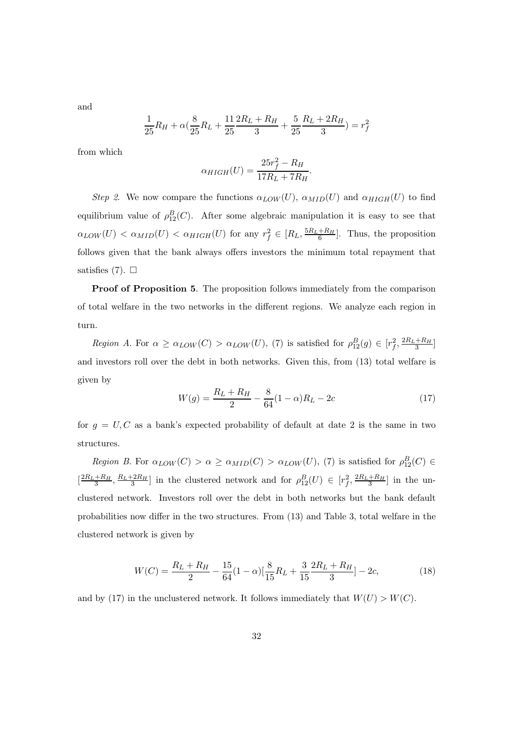and

$$
\frac{1}{25}R_H + \alpha \left(\frac{8}{25}R_L + \frac{11}{25}\frac{2R_L + R_H}{3} + \frac{5}{25}\frac{R_L + 2R_H}{3}\right) = r_f^2
$$

from which

$$
\alpha_{HIGH}(U) = \frac{25r_f^2 - R_H}{17R_L + 7R_H}.
$$

Step 2. We now compare the functions  $\alpha_{LOW}(U)$ ,  $\alpha_{MID}(U)$  and  $\alpha_{HIGH}(U)$  to find equilibrium value of  $\rho_{12}^B(C)$ . After some algebraic manipulation it is easy to see that  $\alpha_{LOW}(U) < \alpha_{MID}(U) < \alpha_{HIGH}(U)$  for any  $r_f^2 \in [R_L, \frac{5R_L + R_H}{6}]$ . Thus, the proposition follows given that the bank always offers investors the minimum total repayment that satisfies  $(7)$ .  $\Box$ 

Proof of Proposition 5. The proposition follows immediately from the comparison of total welfare in the two networks in the different regions. We analyze each region in turn.

Region A. For  $\alpha \geq \alpha_{LOW}(C) > \alpha_{LOW}(U)$ , (7) is satisfied for  $\rho_{12}^B(g) \in [r_f^2, \frac{2R_L + R_H}{3}]$ and investors roll over the debt in both networks. Given this, from (13) total welfare is given by

$$
W(g) = \frac{R_L + R_H}{2} - \frac{8}{64}(1 - \alpha)R_L - 2c
$$
\n(17)

for  $g = U, C$  as a bank's expected probability of default at date 2 is the same in two structures.

Region B. For  $\alpha_{LOW}(C) > \alpha \geq \alpha_{MID}(C) > \alpha_{LOW}(U)$ , (7) is satisfied for  $\rho_{12}^B(C) \in$  $\left[\frac{2R_L+R_H}{3},\frac{R_L+2R_H}{3}\right]$  in the clustered network and for  $\rho_{12}^B(U) \in [r_f^2,\frac{2R_L+R_H}{3}]$  in the unclustered network. Investors roll over the debt in both networks but the bank default probabilities now differ in the two structures. From  $(13)$  and Table 3, total welfare in the clustered network is given by

$$
W(C) = \frac{R_L + R_H}{2} - \frac{15}{64}(1 - \alpha)\left[\frac{8}{15}R_L + \frac{3}{15}\frac{2R_L + R_H}{3}\right] - 2c,\tag{18}
$$

and by (17) in the unclustered network. It follows immediately that  $W(U) > W(C)$ .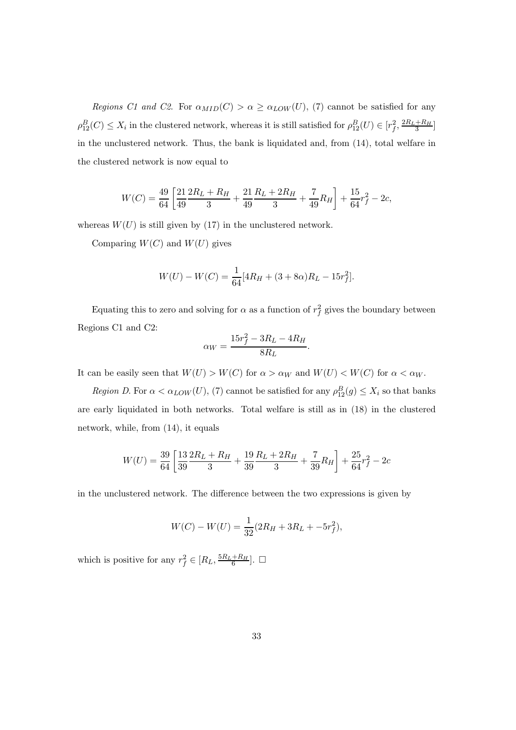Regions C1 and C2. For  $\alpha_{MID}(C) > \alpha \geq \alpha_{LOW}(U)$ , (7) cannot be satisfied for any  $\rho_{12}^B(C) \le X_i$  in the clustered network, whereas it is still satisfied for  $\rho_{12}^B(U) \in [r_f^2, \frac{2R_L + R_H}{3}]$ in the unclustered network. Thus, the bank is liquidated and, from (14), total welfare in the clustered network is now equal to

$$
W(C) = \frac{49}{64} \left[ \frac{21}{49} \frac{2R_L + R_H}{3} + \frac{21}{49} \frac{R_L + 2R_H}{3} + \frac{7}{49} R_H \right] + \frac{15}{64} r_f^2 - 2c,
$$

whereas  $W(U)$  is still given by (17) in the unclustered network.

Comparing  $W(C)$  and  $W(U)$  gives

$$
W(U) - W(C) = \frac{1}{64} [4R_H + (3 + 8\alpha)R_L - 15r_f^2].
$$

Equating this to zero and solving for  $\alpha$  as a function of  $r_f^2$  gives the boundary between Regions C1 and C2:

$$
\alpha_W = \frac{15r_f^2 - 3R_L - 4R_H}{8R_L}
$$

.

It can be easily seen that  $W(U) > W(C)$  for  $\alpha > \alpha_W$  and  $W(U) < W(C)$  for  $\alpha < \alpha_W$ .

Region D. For  $\alpha < \alpha_{LOW}(U)$ , (7) cannot be satisfied for any  $\rho_{12}^B(g) \le X_i$  so that banks are early liquidated in both networks. Total welfare is still as in (18) in the clustered network, while, from (14), it equals

$$
W(U) = \frac{39}{64} \left[ \frac{13}{39} \frac{2R_L + R_H}{3} + \frac{19}{39} \frac{R_L + 2R_H}{3} + \frac{7}{39} R_H \right] + \frac{25}{64} r_f^2 - 2c
$$

in the unclustered network. The difference between the two expressions is given by

$$
W(C) - W(U) = \frac{1}{32}(2R_H + 3R_L + -5r_f^2),
$$

which is positive for any  $r_f^2 \in [R_L, \frac{5R_L + R_H}{6}]$ .  $\Box$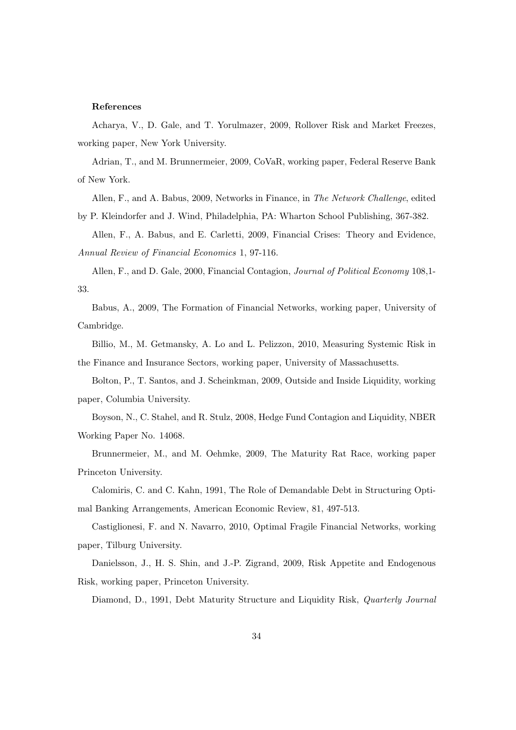#### References

Acharya, V., D. Gale, and T. Yorulmazer, 2009, Rollover Risk and Market Freezes, working paper, New York University.

Adrian, T., and M. Brunnermeier, 2009, CoVaR, working paper, Federal Reserve Bank of New York.

Allen, F., and A. Babus, 2009, Networks in Finance, in The Network Challenge, edited by P. Kleindorfer and J. Wind, Philadelphia, PA: Wharton School Publishing, 367-382.

Allen, F., A. Babus, and E. Carletti, 2009, Financial Crises: Theory and Evidence, Annual Review of Financial Economics 1, 97-116.

Allen, F., and D. Gale, 2000, Financial Contagion, Journal of Political Economy 108,1- 33.

Babus, A., 2009, The Formation of Financial Networks, working paper, University of Cambridge.

Billio, M., M. Getmansky, A. Lo and L. Pelizzon, 2010, Measuring Systemic Risk in the Finance and Insurance Sectors, working paper, University of Massachusetts.

Bolton, P., T. Santos, and J. Scheinkman, 2009, Outside and Inside Liquidity, working paper, Columbia University.

Boyson, N., C. Stahel, and R. Stulz, 2008, Hedge Fund Contagion and Liquidity, NBER Working Paper No. 14068.

Brunnermeier, M., and M. Oehmke, 2009, The Maturity Rat Race, working paper Princeton University.

Calomiris, C. and C. Kahn, 1991, The Role of Demandable Debt in Structuring Optimal Banking Arrangements, American Economic Review, 81, 497-513.

Castiglionesi, F. and N. Navarro, 2010, Optimal Fragile Financial Networks, working paper, Tilburg University.

Danielsson, J., H. S. Shin, and J.-P. Zigrand, 2009, Risk Appetite and Endogenous Risk, working paper, Princeton University.

Diamond, D., 1991, Debt Maturity Structure and Liquidity Risk, Quarterly Journal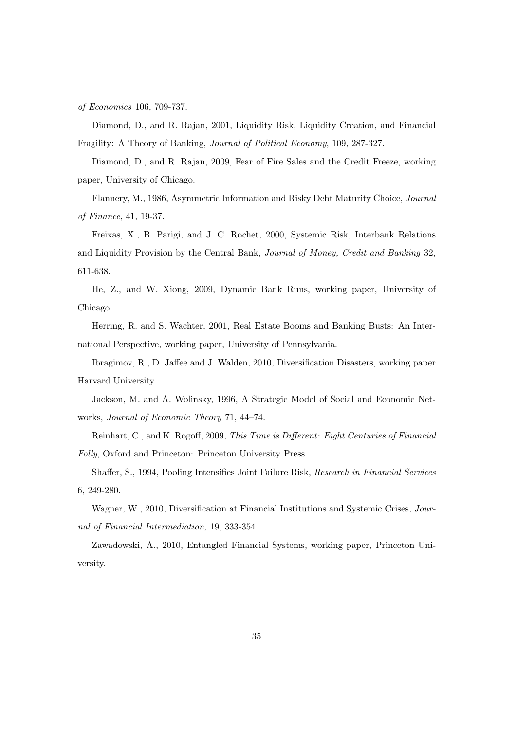of Economics 106, 709-737.

Diamond, D., and R. Rajan, 2001, Liquidity Risk, Liquidity Creation, and Financial Fragility: A Theory of Banking, Journal of Political Economy, 109, 287-327.

Diamond, D., and R. Rajan, 2009, Fear of Fire Sales and the Credit Freeze, working paper, University of Chicago.

Flannery, M., 1986, Asymmetric Information and Risky Debt Maturity Choice, Journal of Finance, 41, 19-37.

Freixas, X., B. Parigi, and J. C. Rochet, 2000, Systemic Risk, Interbank Relations and Liquidity Provision by the Central Bank, Journal of Money, Credit and Banking 32, 611-638.

He, Z., and W. Xiong, 2009, Dynamic Bank Runs, working paper, University of Chicago.

Herring, R. and S. Wachter, 2001, Real Estate Booms and Banking Busts: An International Perspective, working paper, University of Pennsylvania.

Ibragimov, R., D. Jaffee and J. Walden, 2010, Diversification Disasters, working paper Harvard University.

Jackson, M. and A. Wolinsky, 1996, A Strategic Model of Social and Economic Networks, Journal of Economic Theory 71, 44—74.

Reinhart, C., and K. Rogoff, 2009, This Time is Different: Eight Centuries of Financial Folly, Oxford and Princeton: Princeton University Press.

Shaffer, S., 1994, Pooling Intensifies Joint Failure Risk, Research in Financial Services 6, 249-280.

Wagner, W., 2010, Diversification at Financial Institutions and Systemic Crises, Journal of Financial Intermediation, 19, 333-354.

Zawadowski, A., 2010, Entangled Financial Systems, working paper, Princeton University.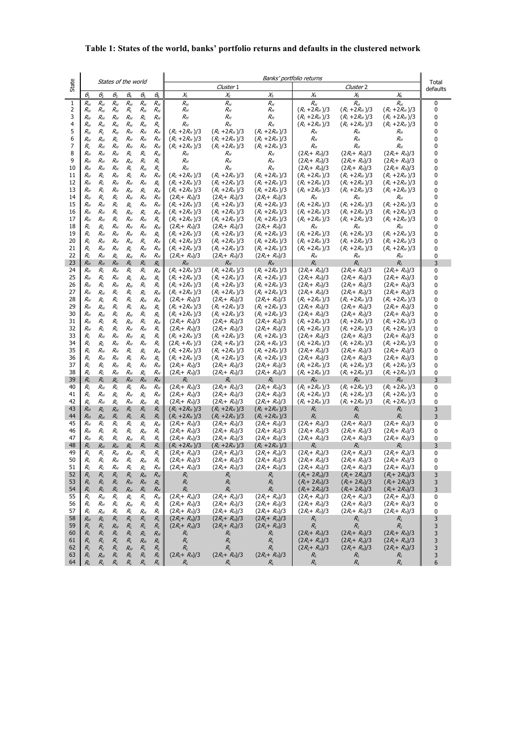#### **Table 1: States of the world, banks' portfolio returns and defaults in the clustered network**

|              |                       |                         |                         |                       |                                            | Banks' portfolio returns                    |                                         |                                         |                                      |                                             |                                                             |                                                                | Total  |
|--------------|-----------------------|-------------------------|-------------------------|-----------------------|--------------------------------------------|---------------------------------------------|-----------------------------------------|-----------------------------------------|--------------------------------------|---------------------------------------------|-------------------------------------------------------------|----------------------------------------------------------------|--------|
| State        | States of the world   |                         |                         |                       | Cluster 1                                  |                                             |                                         |                                         |                                      | Cluster <sub>2</sub>                        |                                                             |                                                                |        |
| $\mathbf{1}$ | $\theta_1$<br>$R_{H}$ | $\theta_{2}$<br>$R_{H}$ | $\theta_{3}$<br>$R_{H}$ | $\theta_4$<br>$R_{H}$ | $\theta_{5}$<br>$R_{\scriptscriptstyle H}$ | $\theta_{\scriptscriptstyle{6}}$<br>$R_{H}$ | $X_1$<br>$R_{H}$                        | $\chi_{2}$<br>$R_{H}$                   | $\chi_{3}$<br>$R_{H}$                | $\chi_{4}$<br>$R_{\scriptscriptstyle H}$    | $\chi_{\scriptscriptstyle 5}$<br>$R_{\scriptscriptstyle H}$ | $\chi_{\scriptscriptstyle 6}^{}$<br>$R_{\scriptscriptstyle H}$ | 0      |
| 2            | $R_{H}$               | $R_{H}$                 | $R_{H}$                 | $R_{L}$               | $R_{H}$                                    | $R_{H}$                                     | $R_{H}$                                 | $R_{H}$                                 | $R_{H}$                              | $(R_1 + 2R_H)/3$                            | $(R_1 + 2R_H)/3$                                            | $(R_L + 2R_H)/3$                                               | 0      |
| 3            | $R_{H}$               | $R_{H}$                 | $R_{H}$                 | $R_{H}$               | $R_{L}$                                    | $R_{H}$                                     | $R_{H}$                                 | $R_{H}$                                 | $R_{H}$                              | $(R_L + 2R_H)/3$                            | $(R_L + 2R_H)/3$                                            | $(R_L + 2R_H)/3$                                               | 0      |
| 4<br>5       | $R_{H}$               | $R_{H}$<br>$R_I$        | $R_{H}$                 | $R_{H}$<br>$R_H$      | $R_{H}$<br>$R_{H}$                         | $R_{L}$<br>$R_H$                            | $R_{H}$<br>$(R_L + 2R_H)/3$             | $R_{H}$<br>$(R_L + 2R_H)/3$             | $R_{H}$<br>$(R_L + 2R_H)/3$          | $(R_L + 2R_H)/3$<br>$R_H$                   | $(R_1 + 2R_H)/3$<br>$R_H$                                   | $(R_L + 2R_H)/3$<br>$R_H$                                      | 0<br>0 |
| 6            | $R_H$<br>$R_{H}$      | $R_{H}$                 | $R_{H}$<br>$R_{L}$      | $R_{H}$               | $R_{H}$                                    | $R_H$                                       | $(R_L + 2R_H)/3$                        | $(R_L + 2R_H)/3$                        | $(R_L + 2R_H)/3$                     | $R_{H}$                                     | $R_{H}$                                                     | $R_{H}$                                                        | 0      |
| 7            | $R_{L}$               | $R_{H}$                 | $R_{H}$                 | $R_H$                 | $R_{H}$                                    | $R_{H}$                                     | $(R_L + 2R_H)/3$                        | $(R_L + 2R_H)/3$                        | $(R_L + 2R_H)/3$                     | $R_{H}$                                     | $R_{H}$                                                     | $R_{H}$                                                        | 0      |
| 8            | $R_H$                 | $R_{H}$                 | $R_{H}$                 | $R_{L}$               | $R_{L}$                                    | $R_{H}$                                     | $R_H$                                   | $R_{H}$                                 | $R_{H}$                              | $(2R_1 + R_2)/3$                            | $(2R_1 + R_2)/3$                                            | $(2R_1 + R_2)/3$                                               | 0      |
| 9<br>10      | $R_{H}$<br>$R_{H}$    | $R_{H}$<br>$R_{H}$      | $R_{H}$<br>$R_{H}$      | $R_H$<br>$R_{L}$      | $R_{L}$<br>$R_H$                           | $R_{L}$<br>$R_{L}$                          | $R_{H}$<br>$R_H$                        | $R_{H}$<br>$R_{H}$                      | $R_{H}$<br>$R_{H}$                   | $(2R1+RH)/3$<br>$(2R_1 + R_2)/3$            | $(2R_1 + R_2)/3$<br>$(2R_1+R_2)/3$                          | $(2R_1 + R_2)/3$<br>$(2R_1 + R_2)/3$                           | 0<br>0 |
| 11           | $R_{H}$               | $R_{L}$                 | $R_{H}$                 | $R_{L}$               | $R_{H}$                                    | $R_{H}$                                     | $(R_L + 2R_H)/3$                        | $(R_L + 2R_H)/3$                        | $(R_L + 2R_H)/3$                     | $(R_1 + 2R_H)/3$                            | $(R_1 + 2R_H)/3$                                            | $(R_L + 2R_H)/3$                                               | 0      |
| 12           | $R_{H}$               | $R_{L}$                 | $R_{H}$                 | $R_H$                 | $R_{H}$                                    | $R_{L}$                                     | $(R_L + 2R_H)/3$                        | $(R_L + 2R_H)/3$                        | $(R_L + 2R_H)/3$                     | $(R_L + 2R_H)/3$                            | $(R_L + 2R_H)/3$                                            | $(R_L + 2R_H)/3$                                               | 0      |
| 13<br>14     | $R_{H}$               | $R_{L}$                 | $R_{H}$                 | $R_{H}$               | $R_{L}$                                    | $R_{H}$                                     | $(R_L + 2R_H)/3$                        | $(R_L + 2R_H)/3$                        | $(R_L + 2R_H)/3$                     | $(R_1 + 2R_H)/3$                            | $(R_L + 2R_H)/3$                                            | $(R_L + 2R_H)/3$                                               | 0<br>0 |
| 15           | $R_{H}$<br>$R_{H}$    | $R_{L}$<br>$R_{H}$      | $R_{L}$<br>$R_{I}$      | $R_{H}$<br>R,         | $R_H$<br>$R_{H}$                           | $R_{H}$<br>$R_{H}$                          | $(2R_1 + R_2)/3$<br>$(R_L + 2R_H)/3$    | $(2R_1 + R_2)/3$<br>$(R_L + 2R_H)/3$    | $(2R_1 + R_2)/3$<br>$(R_L + 2R_H)/3$ | $R_{H}$<br>$(R_L + 2R_H)/3$                 | $R_{H}$<br>$(R_L + 2R_H)/3$                                 | $R_{H}$<br>$(R_L + 2R_H)/3$                                    | 0      |
| 16           | $R_{H}$               | $R_{H}$                 | $R_{L}$                 | $R_{H}$               | $R_{L}$                                    | $R_{H}$                                     | $(R_L + 2R_H)/3$                        | $(R_L + 2R_H)/3$                        | $(R_L + 2R_H)/3$                     | $(R_L + 2R_H)/3$                            | $(R_L + 2R_H)/3$                                            | $(R_L + 2R_H)/3$                                               | 0      |
| 17           | $R_{H}$               | $R_{H}$                 | $R_{L}$                 | $R_{H}$               | $R_{H}$                                    | $R_{L}$                                     | $(R_L + 2R_H)/3$                        | $(R_L + 2R_H)/3$                        | $(R_L + 2R_H)/3$                     | $(R_L + 2R_H)/3$                            | $(R_L + 2R_H)/3$                                            | $(R_L + 2R_H)/3$                                               | 0      |
| 18<br>19     | $R_{L}$<br>$R_{L}$    | $R_{I}$<br>$R_{H}$      | $R_{H}$<br>$R_{H}$      | $R_H$<br>$R_{H}$      | $R_{H}$<br>$R_{H}$                         | $R_{H}$<br>$R_{L}$                          | $(2R_1 + R_2)/3$<br>$(R_L + 2R_H)/3$    | $(2R_1 + R_2)/3$<br>$(R_L + 2R_H)/3$    | $(2R_1 + R_2)/3$<br>$(R_L + 2R_H)/3$ | $R_{H}$<br>$(R_L + 2R_H)/3$                 | $R_H$<br>$(R_L + 2R_H)/3$                                   | $R_H$<br>$(R_L + 2R_H)/3$                                      | 0<br>0 |
| 20           | $R_{L}$               | $R_{H}$                 | $R_{H}$                 | $R_H$                 | $R_{L}$                                    | $R_H$                                       | $(R_L + 2R_H)/3$                        | $(R_L + 2R_H)/3$                        | $(R_L + 2R_H)/3$                     | $(R_L + 2R_H)/3$                            | $(R_L + 2R_H)/3$                                            | $(R_L + 2R_H)/3$                                               | 0      |
| 21           | $R_{L}$               | $R_{H}$                 | $R_{H}$                 | $R_{L}$               | $R_{H}$                                    | $R_{H}$                                     | $(R_L + 2R_H)/3$                        | $(R_L + 2R_H)/3$                        | $(R_L + 2R_H)/3$                     | $(R_L + 2R_H)/3$                            | $(R_L + 2R_H)/3$                                            | $(R_L + 2R_H)/3$                                               | 0      |
| 22           | $R_{L}$               | $R_{H}$                 | $R_{L}$                 | $R_{H}$               | $R_{H}$                                    | $R_{H}$                                     | $(2R_{L}+ R_{H})/3$                     | $(2R_1+R_2)/3$                          | $(2R_1+R_2)/3$                       | $R_H$                                       | $R_{H}$                                                     | $R_{H}$                                                        | 0      |
| 23<br>24     | $R_{H}$<br>$R_{H}$    | $R_{H}$<br>$R_{L}$      | $R_{H}$<br>$R_{H}$      | $R_L$<br>$R_{L}$      | $R_L$<br>$R_{L}$                           | $R_L$<br>$R_{H}$                            | $R_H$<br>$(R_L + 2R_H)/3$               | $R_{H}$<br>$(R_L + 2R_H)/3$             | $R_{H}$<br>$(R_L + 2R_H)/3$          | $R_L$<br>$(2R_1 + R_2)/3$                   | $R_L$<br>$(2R_1 + R_2)/3$                                   | $R_L$<br>$(2R_{L}+ R_{H})/3$                                   | 3<br>0 |
| 25           | $R_H$                 | $R_{L}$                 | $R_{H}$                 | $R_{L}$               | $R_H$                                      | $R_{L}$                                     | $(R_L + 2R_H)/3$                        | $(R_L + 2R_H)/3$                        | $(R_L + 2R_H)/3$                     | $(2R_{L}+ R_{H})/3$                         | $(2R_1 + R_H)/3$                                            | $(2R_1 + R_2)/3$                                               | 0      |
| 26           | $R_{H}$               | $R_{L}$                 | $R_{H}$                 | $R_{H}$               | $R_{L}$                                    | $R_{L}$                                     | $(R_1 + 2R_H)/3$                        | $(R_1 + 2R_H)/3$                        | $(R_1 + 2R_H)/3$                     | $(2R_1+R_2)/3$                              | $(2R_1 + R_2)/3$                                            | $(2R_1 + R_2)/3$                                               | 0      |
| 27<br>28     | $R_{H}$               | $R_{H}$                 | $R_{L}$                 | $R_{L}$               | $R_{L}$                                    | $R_{H}$                                     | $(R_L + 2R_H)/3$                        | $(R_L + 2R_H)/3$                        | $(R_L + 2R_H)/3$                     | $(2R_1 + R_2)/3$                            | $(2R_1 + R_2)/3$                                            | $(2R_1 + R_2)/3$                                               | 0      |
| 29           | $R_{H}$<br>$R_{H}$    | $R_{I}$<br>$R_{H}$      | $R_{L}$<br>$R_{L}$      | $R_{L}$<br>$R_{L}$    | $R_{H}$<br>$R_H$                           | $R_{H}$<br>$R_{L}$                          | $(2R_1 + R_2)/3$<br>$(R_L + 2R_H)/3$    | $(2R_{L}+ R_{H})/3$<br>$(R_L + 2R_H)/3$ | $(2R_1 + R_2)/3$<br>$(R_L + 2R_H)/3$ | $(R_L + 2R_H)/3$<br>$(2R_1 + R_2)/3$        | $(R_L + 2R_H)/3$<br>$(2R_1+R_2)/3$                          | $(R_L + 2R_H)/3$<br>$(2R_{L}+ R_{H})/3$                        | 0<br>0 |
| 30           | $R_{H}$               | $R_{H}$                 | $R_{L}$                 | $R_{H}$               | $R_{L}$                                    | $R_{L}$                                     | $(R_L + 2R_H)/3$                        | $(R_L + 2R_H)/3$                        | $(R_L + 2R_H)/3$                     | $(2R_{L}+ R_{H})/3$                         | $(2R1+RH)/3$                                                | $(2R_1 + R_2)/3$                                               | 0      |
| 31           | $R_{H}$               | $R_{L}$                 | $R_{L}$                 | $R_H$                 | $R_{L}$                                    | $R_{H}$                                     | $(2R_1 + R_2)/3$                        | $(2R_1 + R_2)/3$                        | $(2R_1 + R_2)/3$                     | $(R_L + 2R_H)/3$                            | $(R_L + 2R_H)/3$                                            | $(R_L + 2R_H)/3$                                               | 0      |
| 32<br>33     | $R_{H}$<br>$R_{L}$    | $R_{L}$<br>$R_{H}$      | $R_{L}$<br>$R_{H}$      | $R_{H}$<br>$R_H$      | $R_{H}$<br>$R_{L}$                         | $R_{L}$<br>$R_{L}$                          | $(2R_{L}+R_{H})/3$<br>$(R_L + 2R_H)/3$  | $(2R_{l}+R_{H})/3$<br>$(R_L + 2R_H)/3$  | $(2R_1 + R_2)/3$<br>$(R_L + 2R_H)/3$ | $(R_L + 2R_H)/3$<br>$(2R_1 + R_2)/3$        | $(R_L + 2R_H)/3$<br>$(2R_1 + R_H)/3$                        | $(R_L + 2R_H)/3$<br>$(2R_1 + R_2)/3$                           | 0<br>0 |
| 34           | $R_{L}$               | $R_{L}$                 | $R_{H}$                 | $R_{H}$               | $R_{H}$                                    | $R_{\rm L}$                                 | $(2R_L + R_H)/3$                        | $(2R_L + R_H)/3$                        | $(2R_L + R_H)/3$                     | $(R_L + 2R_H)/3$                            | $(R_L + 2R_H)/3$                                            | $(R_L + 2R_H)/3$                                               | 0      |
| 35           | $R_{L}$               | $R_{H}$                 | $R_{H}$                 | $R_{L}$               | $R_{L}$                                    | $R_{H}$                                     | $(R_L + 2R_H)/3$                        | $(R_L + 2R_H)/3$                        | $(R_L + 2R_H)/3$                     | $(2R_1 + R_2)/3$                            | $(2R_1 + R_2)/3$                                            | $(2R_1 + R_2)/3$                                               | 0      |
| 36           | $R_{L}$               | $R_{H}$                 | $R_{H}$                 | $R_{L}$               | $R_{H}$                                    | $R_{L}$                                     | $(R_L + 2R_H)/3$                        | $(R_L + 2R_H)/3$                        | $(R_L + 2R_H)/3$                     | $(2R_1 + R_2)/3$                            | $(2R_1 + R_H)/3$                                            | $(2R_1 + R_2)/3$                                               | 0      |
| 37<br>38     | $R_{L}$<br>$R_{L}$    | $R_{L}$<br>$R_{L}$      | $R_{H}$<br>$R_{H}$      | $R_{L}$<br>$R_H$      | $R_{H}$<br>$R_{L}$                         | $R_{H}$<br>$R_{H}$                          | $(2R_1 + R_2)/3$<br>$(2R_1 + R_2)/3$    | $(2R_1 + R_2)/3$<br>$(2R_1 + R_2)/3$    | $(2R_1 + R_2)/3$<br>$(2R_1 + R_2)/3$ | $(R_L + 2R_H)/3$<br>$(R_L + 2R_H)/3$        | $(R_L + 2R_H)/3$<br>$(R_L + 2R_H)/3$                        | $(R_L + 2R_H)/3$<br>$(R_L + 2R_H)/3$                           | 0<br>0 |
| 39           | $R_{L}$               | $R_{L}$                 | $R_L$                   | $R_{H}$               | $R_{H}$                                    | $R_{H}$                                     | $R_{L}$                                 | $R_{L}$                                 | $R_L$                                | $R_{H}$                                     | $R_{H}$                                                     | $R_H$                                                          | 3      |
| 40           | $R_{L}$               | $R_{H}$                 | $R_{L}$                 | $R_{L}$               | $R_{H}$                                    | $R_{H}$                                     | $(2R_1 + R_2)/3$                        | $(2R_{L}+ R_{H})/3$                     | $(2R_1 + R_2)/3$                     | $(R_L + 2R_H)/3$                            | $(R_L + 2R_H)/3$                                            | $(R_L + 2R_H)/3$                                               | 0      |
| 41<br>42     | $R_{L}$<br>$R_{L}$    | $R_{H}$<br>$R_{H}$      | $R_{L}$<br>$R_{L}$      | $R_{H}$<br>$R_{H}$    | $R_{L}$<br>$R_H$                           | $R_{H}$<br>$R_{L}$                          | $(2R_{L}+R_{H})/3$<br>$(2R_1 + R_2)/3$  | $(2R_{L}+ R_{H})/3$<br>$(2R_1 + R_2)/3$ | $(2R_1 + R_2)/3$<br>$(2R_1 + R_2)/3$ | $(R_L + 2R_H)/3$<br>$(R_L + 2R_H)/3$        | $(R_L + 2R_H)/3$<br>$(R_L + 2R_H)/3$                        | $(R_L + 2R_H)/3$<br>$(R_L + 2R_H)/3$                           | 0<br>0 |
| 43           | $R_{H}$               | $R_L$                   | $R_{H}$                 | $R_{L}$               | $R_{L}$                                    | $R_{L}$                                     | $(R_L + 2R_H)/3$                        | $(R_L + 2R_H)/3$                        | $(R_L + 2R_H)/3$                     | $R_{L}$                                     | $R_{L}$                                                     | $R_{L}$                                                        | 3      |
| 44           | $R_{H}$               | $R_{H}$                 | $R_{L}$                 | $R_L$                 | $R_L$                                      | $R_L$                                       | $(R_L + 2R_H)/3$                        | $(R_L + 2R_H)/3$                        | $(R_L + 2R_H)/3$                     | $R_{L}$                                     | $R_L$                                                       | $R_L$                                                          | 3      |
| 45<br>46     | $R_{H}$               | $R_{L}$                 | $R_{L}$                 | $R_{L}$               | $R_{L}$                                    | $R_{H}$                                     | $(2R_1 + R_2)/3$                        | $(2R_{L}+ R_{H})/3$                     | $(2R_{L}+ R_{H})/3$                  | $(2R_{L}+ R_{H})/3$                         | $(2R_1 + R_2)/3$<br>$(2R_1+R_2)/3$                          | $(2R_1 + R_2)/3$<br>$(2R1+RH)/3$                               | 0<br>0 |
| 47           | $R_{H}$<br>$R_{H}$    | $R_{L}$<br>$R_{L}$      | $R_{L}$<br>R,           | $R_{L}$<br>$R_H$      | $R_{H}$<br>$R_{L}$                         | $R_{L}$<br>R,                               | $(2R_1 + R_2)/3$<br>$(2R_1 + R_2)/3$    | $(2R_1 + R_2)/3$<br>$(2R_{L}+ R_{H})/3$ | $(2R_1 + R_2)/3$<br>$(2R_1 + R_2)/3$ | $(2R_{L}+ R_{H})/3$<br>$(2R_{L}+ R_{H})/3$  | $(2R_{L}+ R_{H})/3$                                         | $(2R_1 + R_2)/3$                                               | 0      |
| 48           | $R_L$                 | $R_{H}$                 | $R_{H}$                 | $R_L$                 | $R_L$                                      | $R_L$                                       | $(R_L + 2R_H)/3$                        | $(R_L + 2R_H)/3$                        | $(R_L + 2R_H)/3$                     | $R_{L}$                                     | $R_{L}$                                                     | $R_{L}$                                                        | 3      |
| 49           | $R_{L}$               | $R_{L}$                 | $R_{H}$                 | $R_H$                 | $R_{L}$                                    | $R_{L}$                                     | $(2R1+RH)/3$                            | $(2R1+RH)/3$                            | $(2R1+RH)/3$                         | $(2R_t + R_H)/3$                            | $(2R_t + R_H)/3$                                            | $(2R_t + R_H)/3$                                               | 0      |
| 50<br>51     | $R_{L}$<br>$R_{L}$    | $R_{L}$<br>$R_{L}$      | $R_{H}$<br>$R_{H}$      | $R_{L}$<br>$R_{L}$    | $R_{H}$<br>$R_{\rm L}$                     | $R_{L}$<br>$R_{H}$                          | $(2R_{L}+ R_{H})/3$<br>$(2R_1 + R_H)/3$ | $(2R_1 + R_2)/3$<br>$(2R_l + R_H)/3$    | $(2R_1 + R_2)/3$<br>$(2R_1+ R_H)/3$  | $(2R_1 + R_2)/3$<br>$(2R_{L}+ R_{H})/3$     | $(2R_1 + R_2)/3$<br>$(2R_1 + R_H)/3$                        | $(2R_1 + R_2)/3$<br>$(2R_1 + R_2)/3$                           | υ<br>0 |
| 52           | $R_{L}$               | $R_{L}$                 | $R_{L}$                 | $R_{L}$               | $R_{H}$                                    | $R_{H}$                                     | $R_{L}$                                 | $R_{L}$                                 | $R_L$                                | $(R_L + 2R_H)/3$                            | $(R_{L} + 2R_{H})/3$                                        | $(R_L + 2R_H)/3$                                               | 3      |
| 53           | $R_{L}$               | $R_{L}$                 | $R_{L}$                 | $R_H$                 | $R_{H}$                                    | $R_{L}$                                     | $R_{L}$                                 | $R_{L}$                                 | $R_L$                                | $(R_L + 2R_H)/3$                            | $(R_L + 2R_H)/3$                                            | $(R_L + 2R_H)/3$                                               | 3      |
| 54           | $R_{L}$               | $R_{L}$                 | $R_{L}$                 | $R_{H}$               | $R_{L}$                                    | $R_{H}$                                     | $R_{L}$                                 | $R_L$<br>$(2R_{L}+ R_{H})/3$            | $R_L$<br>$(2R_{l}+R_{H})/3$          | $(R_{L} + 2R_{H})/3$<br>$(2R_{L}+ R_{H})/3$ | $(R_{L}+ 2R_{H})/3$                                         | $(R_L + 2R_H)/3$                                               | 3      |
| 55<br>56     | $R_{L}$<br>$R_{L}$    | $R_{H}$<br>$R_{H}$      | $R_{L}$<br>$R_{L}$      | $R_{L}$<br>$R_{H}$    | $R_{L}$<br>$R_{L}$                         | $R_H$<br>$R_{L}$                            | $(2R_1 + R_2)/3$<br>$(2R_{L}+ R_{H})/3$ | $(2R_1+R_2)/3$                          | $(2R_{L}+ R_{H})/3$                  | $(2R_{L}+ R_{H})/3$                         | $(2R_1 + R_2)/3$<br>$(2R_t + R_H)/3$                        | $(2R_1 + R_2)/3$<br>$(2R_{L}+ R_{H})/3$                        | 0<br>0 |
| 57           | $R_{L}$               | $R_{H}$                 | $R_{\rm L}$             | $R_{\rm L}$           | $R_{H}$                                    | $R_{L}$                                     | $(2R_1 + R_2)/3$                        | $(2R_{L}+ R_{H})/3$                     | $(2R_1 + R_2)/3$                     | $(2R_1+R_2)/3$                              | $(2R_{l}+R_{H})/3$                                          | $(2R_{L}+ R_{H})/3$                                            | 0      |
| 58           | $R_{H}$               | $R_{L}$                 | $R_{L}$                 | $R_{L}$               | $R_{L}$                                    | $R_{L}$                                     | $(2R_{L}+ R_{H})/3$                     | $(2R_{L}+ R_{H})/3$                     | $(2R_{L}+ R_{H})/3$                  | $R_{L}$                                     | $R_{L}$                                                     | $R_{L}$                                                        | 3      |
| 59<br>60     | $R_{L}$<br>$R_{L}$    | $R_{L}$<br>$R_{L}$      | $R_{H}$<br>$R_{L}$      | $R_{L}$<br>$R_{L}$    | $R_{L}$<br>$R_L$                           | $R_{L}$<br>$R_{H}$                          | $(2R_1 + R_2)/3$<br>$R_L$               | $(2R_{L}+ R_{H})/3$<br>$R_{L}$          | $(2R_{L}+ R_{H})/3$<br>$R_L$         | $R_{L}$<br>$(2R_{L}+ R_{H})/3$              | $R_{L}$<br>$(2R_{L}+ R_{H})/3$                              | $R_{L}$<br>$(2R_{L}+ R_{H})/3$                                 | 3<br>3 |
| 61           | $R_{L}$               | $R_{L}$                 | $R_{L}$                 | $R_L$                 | $R_{H}$                                    | $R_{L}$                                     | $R_{L}$                                 | $R_{L}$                                 | $R_{L}$                              | $(2R_{L}+ R_{H})/3$                         | $(2R_1 + R_H)/3$                                            | $(2R_1 + R_2)/3$                                               | 3      |
| 62           | $R_i$                 | $R_{L}$                 | $R_L$                   | $R_{H}$               | $R_{L}$                                    | $R_{L}$                                     | $R_{L}$                                 | $R_{L}$                                 | $R_{L}$                              | $(2R_{L}+ R_{H})/3$                         | $(2R_{L}+ R_{H})/3$                                         | $(2R_{L}+ R_{H})/3$                                            | 3      |
| 63<br>64     | $R_{L}$<br>R,         | $R_{H}$<br>$R_L$        | $R_{L}$<br>$R_{L}$      | $R_{L}$<br>$R_L$      | $R_{L}$<br>$R_L$                           | $R_{L}$<br>$R_L$                            | $(2R_{L}+ R_{H})/3$<br>$R_L$            | $(2R_{L}+ R_{H})/3$<br>$R_L$            | $(2R_1 + R_H)/3$<br>$R_L$            | $R_{L}$<br>$R_{L}$                          | $R_{L}$<br>$R_L$                                            | $R_{L}$<br>$R_L$                                               | 3<br>6 |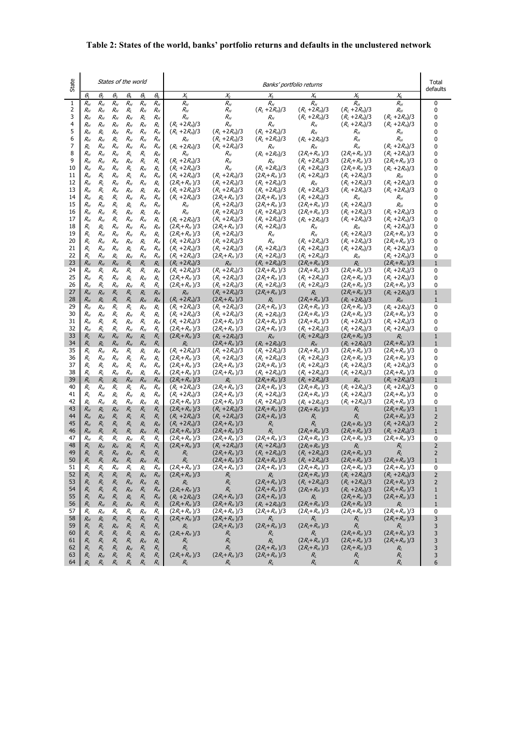#### **Table 2: States of the world, banks' portfolio returns and defaults in the unclustered network**

| State        | States of the world                |                        |                            |                                       |                            |                    | Banks' portfolio returns               |                                        |                                                          |                                                |                                                          |                                  | Total<br>defaults |
|--------------|------------------------------------|------------------------|----------------------------|---------------------------------------|----------------------------|--------------------|----------------------------------------|----------------------------------------|----------------------------------------------------------|------------------------------------------------|----------------------------------------------------------|----------------------------------|-------------------|
|              | $\theta_{\scriptscriptstyle{\!1}}$ | $\theta_{2}$           | $\theta_{3}$               | $\theta_4$                            | $\theta_{5}$               | $\theta_{\!6}$     | $X_1$                                  | $X_2$                                  | $\chi_{\scriptscriptstyle\rm 3}^{}$                      | $\chi_{\!\scriptscriptstyle 4}$                | $X_{5}$                                                  | $\chi_{6}$                       |                   |
| $\mathbf{1}$ | $R_H$                              | $R_{\rm H}$            | $R_H$                      | $R_H$                                 | $R_{\scriptscriptstyle H}$ | $R_H$              | $R_H$                                  | $R_H$                                  | $R_H$                                                    | $R_H$                                          | $R_H$                                                    | $R_H$                            | 0                 |
| 2            | $R_{H}$                            | $R_H$                  | $R_{\scriptscriptstyle H}$ | $R_{L}$                               | $R_{H}$                    | $R_{H}$            | $R_{H}$                                | $R_{\scriptscriptstyle H}$             | $(R_L + 2R_H)/3$                                         | $(R_L + 2R_H)/3$                               | $(R_L + 2R_H)/3$                                         | $R_{H}$                          | 0                 |
| 3            | $R_{H}$                            | $R_{H}$                | $R_{H}$                    | $R_{H}$                               | $R_{L}$                    | $R_{H}$            | $R_{H}$                                | $R_{\scriptscriptstyle H}$             | $R_{\scriptscriptstyle H}$                               | $(R_L + 2R_H)/3$                               | $(R_L + 2R_H)/3$                                         | $(R_L + 2R_H)/3$                 | 0                 |
| 4            | $R_{H}$                            | $R_{H}$                | $R_{H}$                    | $R_{\scriptscriptstyle H}$            | $R_{H}$                    | $R_{L}$            | $(R_L + 2R_H)/3$                       | $R_{\scriptscriptstyle H}$             | $R_{H}$                                                  | $R_{\scriptscriptstyle H}$                     | $(R_L + 2R_H)/3$                                         | $(R_L + 2R_H)/3$                 | 0                 |
| 5<br>6       | $R_{\scriptscriptstyle H}$         | $R_I$                  | $R_{\scriptscriptstyle H}$ | $R_{\scriptscriptstyle H}$            | $R_{H}$                    | $R_H$              | $(R_L + 2R_H)/3$                       | $(R_L + 2R_H)/3$                       | $(R_L + 2R_H)/3$                                         | $R_{\scriptscriptstyle H}$                     | $R_{H}$                                                  | $R_H$                            | 0<br>0            |
| 7            | $R_{H}$<br>R,                      | $R_H$<br>$R_{H}$       | $R_{L}$<br>$R_{H}$         | $R_{H}$<br>$R_{\scriptscriptstyle H}$ | $R_{H}$<br>$R_{H}$         | $R_{H}$<br>$R_{H}$ | $R_{H}$<br>$(R_L + 2R_H)/3$            | $(R_L + 2R_H)/3$<br>$(R_L + 2R_H)/3$   | $(R_L + 2R_H)/3$<br>$R_{H}$                              | $(R_L + 2R_H)/3$<br>$R_{\scriptscriptstyle H}$ | $R_{\scriptscriptstyle H}$<br>$R_{\scriptscriptstyle H}$ | $R_H$<br>$(R_L + 2R_H)/3$        | 0                 |
| 8            | $R_{H}$                            | $R_H$                  | $R_{H}$                    | $R_{L}$                               | $R_{\rm L}$                | $R_H$              | $R_{H}$                                | R <sub>H</sub>                         | $(R_L + 2R_H)/3$                                         | $(2R_l+R_H)/3$                                 | $(2R_l+R_H)/3$                                           | $(R_L + 2R_H)/3$                 | 0                 |
| 9            | $R_{H}$                            | $R_H$                  | $R_{H}$                    | $R_{H}$                               | $R_{\rm L}$                | $R_{L}$            | $(R_L + 2R_H)/3$                       | $R_{\scriptscriptstyle H}$             | $R_{H}$                                                  | $(R_L + 2R_H)/3$                               | $(2R_l+R_H)/3$                                           | $(2R_l+R_H)/3$                   | 0                 |
| 10           | $R_{H}$                            | $R_H$                  | $R_{H}$                    | $R_{L}$                               | $R_{H}$                    | $R_{L}$            | $(R_L + 2R_H)/3$                       | $R_{\rm H}$                            | $(R_L + 2R_H)/3$                                         | $(R_L + 2R_H)/3$                               | $(2R1+RH)/3$                                             | $(R_L + 2R_H)/3$                 | 0                 |
| 11           | $R_{H}$                            | $R_{L}$                | $R_{\scriptscriptstyle H}$ | $R_{L}$                               | $R_{H}$                    | $R_{H}$            | $(R_L + 2R_H)/3$                       | $(R_L + 2R_H)/3$                       | $(2R_{L}+R_{H})/3$                                       | $(R_L + 2R_H)/3$                               | $(R_L + 2R_H)/3$                                         | $R_{\scriptscriptstyle H}$       | 0                 |
| 12           | $R_{H}$                            | $R_{L}$                | $R_{\scriptscriptstyle H}$ | $R_{H}$                               | $R_{H}$                    | $R_{L}$            | $(2R_l+R_H)/3$                         | $(R_L + 2R_H)/3$                       | $(R_L + 2R_H)/3$                                         | $R_{\scriptscriptstyle H}$                     | $(R_L + 2R_H)/3$                                         | $(R_L + 2R_H)/3$                 | 0                 |
| 13           | $R_{H}$                            | $R_{L}$                | $R_{H}$                    | $R_{H}$                               | $R_{L}$                    | $R_H$              | $(R_L + 2R_H)/3$                       | $(R_L + 2R_H)/3$                       | $(R_L + 2R_H)/3$                                         | $(R_L + 2R_H)/3$                               | $(R_L + 2R_H)/3$                                         | $(R_L + 2R_H)/3$                 | 0                 |
| 14           | $R_{H}$                            | $R_I$                  | $R_{L}$                    | $R_{H}$                               | $R_{\scriptscriptstyle H}$ | $R_{H}$            | $(R_L + 2R_H)/3$                       | $(2R_l + R_H)/3$                       | $(2R_l + R_H)/3$                                         | $(R_L + 2R_H)/3$                               | $R_{H}$                                                  | $R_{H}$                          | 0                 |
| 15           | $R_{H}$                            | $R_{H}$                | $R_{L}$                    | $R_{L}$                               | $R_H$                      | $R_{H}$            | $R_{H}$                                | $(R_L + 2R_H)/3$                       | $(2R_l+R_H)/3$                                           | $(2R_{L}+R_{H})/3$                             | $(R_L + 2R_H)/3$                                         | $R_{H}$                          | 0                 |
| 16           | $R_{H}$                            | $R_{H}$                | $R_{L}$                    | $R_{H}$                               | $R_{L}$                    | $R_{H}$            | $R_{\scriptscriptstyle H}$             | $(R_L + 2R_H)/3$                       | $(R_L + 2R_H)/3$                                         | $(2R_l + R_H)/3$                               | $(R_L + 2R_H)/3$                                         | $(R_L + 2R_H)/3$                 | 0                 |
| 17<br>18     | $R_{H}$                            | $R_H$                  | $R_{L}$                    | $R_{\scriptscriptstyle H}$            | $R_{H}$                    | $R_{L}$            | $(R_L + 2R_H)/3$                       | $(R_L + 2R_H)/3$                       | $(R_L + 2R_H)/3$                                         | $(R_L + 2R_H)/3$                               | $(R_L + 2R_H)/3$                                         | $(R_L + 2R_H)/3$                 | 0                 |
| 19           | R,<br>$R_{L}$                      | $R_{L}$<br>$R_{H}$     | $R_{H}$<br>$R_{H}$         | $R_{H}$                               | $R_{H}$<br>$R_{H}$         | $R_H$              | $(2R_l+R_H)/3$                         | $(2R_l + R_H)/3$                       | $(R_L + 2R_H)/3$                                         | $R_{H}$                                        | $R_{H}$<br>$(R_L + 2R_H)/3$                              | $(R_L + 2R_H)/3$                 | 0<br>0            |
| 20           | $R_{\it L}$                        | $R_{H}$                | $R_{H}$                    | $R_{\scriptscriptstyle H}$<br>$R_{H}$ | $R_{L}$                    | $R_{L}$<br>$R_H$   | $(2R_l+R_H)/3$<br>$(R_L + 2R_H)/3$     | $(R_L + 2R_H)/3$<br>$(R_L + 2R_H)/3$   | $R_{\scriptscriptstyle H}$<br>$R_{\scriptscriptstyle H}$ | $R_{\scriptscriptstyle H}$<br>$(R_L + 2R_H)/3$ | $(R_L + 2R_H)/3$                                         | $(2R_l+R_H)/3$<br>$(2R_l+R_H)/3$ | 0                 |
| 21           | $R_{L}$                            | $R_H$                  | $R_{\scriptscriptstyle H}$ | $R_{L}$                               | $R_{H}$                    | $R_{H}$            | $(R_L + 2R_H)/3$                       | $(R_L + 2R_H)/3$                       | $(R_L + 2R_H)/3$                                         | $(R_L + 2R_H)/3$                               | $(R_L + 2R_H)/3$                                         | $(R_L + 2R_H)/3$                 | 0                 |
| 22           | R,                                 | $R_{H}$                | $R_{L}$                    | $R_{H}$                               | $R_{H}$                    | $R_{H}$            | $(R_L + 2R_H)/3$                       | $(2R_l+R_H)/3$                         | $(R_L + 2R_H)/3$                                         | $(R_L + 2R_H)/3$                               | $R_{\scriptscriptstyle H}$                               | $(R_L + 2R_H)/3$                 | 0                 |
| 23           | $R_{H}$                            | $R_{H}$                | $R_{H}$                    | $R_L$                                 | $R_L$                      | $R_L$              | $(R_L + 2R_H)/3$                       | $R_H$                                  | $(R_L + 2R_H)/3$                                         | $(2R_{L}+R_{H})/3$                             | $R_{L}$                                                  | $(2R_l+R_H)/3$                   | $\overline{1}$    |
| 24           | $R_{H}$                            | $R_{L}$                | $R_{H}$                    | $R_{L}$                               | $R_{\rm L}$                | $R_H$              | $(R_L + 2R_H)/3$                       | $(R_L + 2R_H)/3$                       | $(2R_l+R_H)/3$                                           | $(2R_l+R_H)/3$                                 | $(2R_l+R_H)/3$                                           | $(R_L + 2R_H)/3$                 | 0                 |
| 25           | $R_{H}$                            | R,                     | $R_{H}$                    | $R_{L}$                               | $R_{H}$                    | $R_{L}$            | $(2R_l+R_H)/3$                         | $(R_L + 2R_H)/3$                       | $(2R_l + R_H)/3$                                         | $(R_L + 2R_H)/3$                               | $(2R_l + R_H)/3$                                         | $(R_1 + 2R_2)/3$                 | 0                 |
| 26           | $R_{H}$                            | $R_{L}$                | $R_{\scriptscriptstyle H}$ | $R_{H}$                               | $R_{L}$                    | $R_{L}$            | $(2R_l + R_H)/3$                       | $(R_L + 2R_H)/3$                       | $(R_L + 2R_H)/3$                                         | $(R_L + 2R_H)/3$                               | $(2R_l+R_H)/3$                                           | $(2R_l+R_H)/3$                   | 0                 |
| 27           | $R_{H}$                            | $R_{H}$                | $R_L$                      | $R_{L}$                               | $R_{L}$                    | $R_{H}$            | $R_{H}$                                | $(R_1 + 2R_2)/3$                       | $(2R_l + R_H)/3$                                         | $R_{L}$                                        | $(2R_l + R_H)/3$                                         | $(R_L + 2R_H)/3$                 | $\mathbf{1}$      |
| 28           | $R_{H}$                            | $R_I$                  | $R_L$                      | $R_L$                                 | $R_H$                      | $R_{H}$            | $(R_1 + 2R_H)/3$                       | $(2R_l+R_H)/3$                         | $R_L$                                                    | $(2R1+RH)/3$                                   | $(R_L + 2R_H)/3$                                         | $R_H$                            | $\mathbf{1}$      |
| 29           | $R_{H}$                            | $R_{H}$                | $R_{L}$                    | $R_{\rm \ell}$                        | $R_{H}$                    | $R_{L}$            | $(R_L + 2R_H)/3$                       | $(R_L + 2R_H)/3$                       | $(2R_i+R_{H})/3$                                         | $(2R1+RH)/3$                                   | $(2R_l + R_H)/3$                                         | $(R_1 + 2R_H)/3$                 | 0                 |
| 30           | $R_{H}$                            | $R_H$                  | $R_{\rm L}$                | $R_{H}$                               | $R_{L}$                    | $R_{L}$            | $(R_L + 2R_H)/3$                       | $(R_L + 2R_H)/3$                       | $(R_L + 2R_H)/3$                                         | $(2R_l + R_H)/3$                               | $(2R_l + R_H)/3$                                         | $(2R_l + R_H)/3$                 | 0                 |
| 31<br>32     | $R_{H}$                            | $R_{L}$                | $R_{L}$                    | $R_{H}$                               | $R_{L}$                    | $R_H$              | $(R_L + 2R_H)/3$                       | $(2R_l + R_H)/3$                       | $(2R_l + R_H)/3$                                         | $(2R1+RH)/3$                                   | $(R_L + 2R_H)/3$                                         | $(R_L + 2R_H)/3$                 | 0<br>0            |
| 33           | $R_{H}$<br>$R_{L}$                 | $R_{\rm L}$<br>$R_{H}$ | $R_{\rm L}$<br>$R_{H}$     | $R_{H}$<br>$R_{H}$                    | $R_{H}$<br>$R_L$           | $R_{L}$<br>$R_{L}$ | $(2R_l+R_H)/3$<br>$(2R_l + R_H)/3$     | $(2R_l+R_H)/3$<br>$(R_L + 2R_H)/3$     | $(2R_{L}+R_{H})/3$<br>$R_{\scriptscriptstyle H}$         | $(R_L + 2R_H)/3$<br>$(R_L + 2R_H)/3$           | $(R_L + 2R_H)/3$<br>$(2R_{L}+R_{H})/3$                   | $(R_L + 2R_H)/3$<br>$R_{L}$      | $\mathbf{1}$      |
| 34           | $R_L$                              | $R_I$                  | $R_{H}$                    | $R_{H}$                               | $R_{H}$                    | $R_{L}$            | $R_L$                                  | $(2R_l + R_H)/3$                       | $(R_L + 2R_H)/3$                                         | $R_H$                                          | $(R_L + 2R_H)/3$                                         | $(2R_l+R_H)/3$                   | $\mathbf{1}$      |
| 35           | $R_{L}$                            | $R_{H}$                | $R_{H}$                    | $R_{L}$                               | $R_{L}$                    | $R_H$              | $(R_L + 2R_H)/3$                       | $(R_L + 2R_H)/3$                       | $(R_L + 2R_H)/3$                                         | $(2R_l+R_H)/3$                                 | $(2R_l+R_H)/3$                                           | $(2R_l + R_H)/3$                 | 0                 |
| 36           | $R_{\rm L}$                        | $R_{H}$                | $R_{H}$                    | $R_{L}$                               | $R_{H}$                    | $R_{L}$            | $(2R_l + R_H)/3$                       | $(R_L + 2R_H)/3$                       | $(R_L + 2R_H)/3$                                         | $(R_L + 2R_H)/3$                               | $(2R_l+R_H)/3$                                           | $(2R_l+R_H)/3$                   | 0                 |
| 37           | $R_{\rm L}$                        | $R_{L}$                | $R_{\scriptscriptstyle H}$ | $R_{L}$                               | $R_{H}$                    | $R_{H}$            | $(2R_l+R_H)/3$                         | $(2R_l+R_H)/3$                         | $(2R_l + R_H)/3$                                         | $(R_L + 2R_H)/3$                               | $(R_L + 2R_H)/3$                                         | $(R_L + 2R_H)/3$                 | 0                 |
| 38           | R,                                 | R,                     | $R_{H}$                    | $R_{H}$                               | $R_L$                      | $R_{H}$            | $(2R_l+R_H)/3$                         | $(2R_l+R_H)/3$                         | $(R_L + 2R_H)/3$                                         | $(R_L + 2R_H)/3$                               | $(R_L + 2R_H)/3$                                         | $(2R_l+R_H)/3$                   | 0                 |
| 39           | $R_L$                              | $R_L$                  | $R_I$                      | $R_H$                                 | $R_{H}$                    | $R_H$              | $(2R_l + R_H)/3$                       | $R_L$                                  | $(2R_{L}+R_{H})/3$                                       | $(R_L + 2R_H)/3$                               | $R_H$                                                    | $(R_L + 2R_H)/3$                 | $\mathbf{1}$      |
| 40           | $R_{L}$                            | $R_{H}$                | $R_{L}$                    | $R_{L}$                               | $R_{H}$                    | $R_{H}$            | $(R_L + 2R_H)/3$                       | $(2R_l+R_H)/3$                         | $(2R_l + R_H)/3$                                         | $(2R_l+R_H)/3$                                 | $(R_L + 2R_H)/3$                                         | $(R_L + 2R_H)/3$                 | 0                 |
| 41           | $R_{\rm L}$                        | $R_{H}$                | $R_{L}$                    | $R_{\scriptscriptstyle H}$            | $R_{L}$                    | $R_H$              | $(R_L + 2R_H)/3$                       | $(2R_l+R_H)/3$                         | $(R_L + 2R_H)/3$                                         | $(2R_{L}+R_{H})/3$                             | $(R_L + 2R_H)/3$                                         | $(2R_l+R_H)/3$                   | 0                 |
| 42           | $R_I$                              | $R_{H}$                | $R_{L}$                    | $R_{H}$                               | $R_{H}$                    | $R_{I}$            | $(2R_l + R_H)/3$                       | $(2R_l+R_H)/3$                         | $(R_L + 2R_H)/3$                                         | $(R_L + 2R_H)/3$                               | $(R_L + 2R_H)/3$                                         | $(2R_l+R_H)/3$                   | 0                 |
| 43<br>44     | $R_{H}$<br>$R_{H}$                 | $R_L$                  | $R_{H}$<br>$R_L$           | $R_{L}$<br>$R_{L}$                    | $R_L$<br>$R_{L}$           | $R_L$<br>$R_{L}$   | $(2R_{L}+R_{H})/3$<br>$(R_L + 2R_H)/3$ | $(R_L + 2R_H)/3$<br>$(R_L + 2R_H)/3$   | $(2R_{L}+R_{H})/3$                                       | $(2R_{L}+R_{H})/3$                             | $R_{L}$<br>$R_{L}$                                       | $(2R_l + R_H)/3$<br>$(2R1+RH)/3$ | $\mathbf 1$<br>2  |
| 45           | $R_H$                              | $R_{H}$<br>$R_L$       | $R_L$                      | $R_{L}$                               | $R_L$                      | $R_H$              | $(R_L + 2R_H)/3$                       | $(2R_{L}+R_{H})/3$                     | $(2R_l + R_H)/3$<br>$R_{L}$                              | $R_{L}$<br>$R_{L}$                             | $(2R_l+R_H)/3$                                           | $(R_L + 2R_H)/3$                 | 2                 |
| 46           | $R_{H}$                            | $R_{L}$                | $R_L$                      | $R_{L}$                               | $R_{H}$                    | $R_{L}$            | $(2R_l+R_H)/3$                         | $(2R_l + R_H)/3$                       | $R_{I}$                                                  | $(2R_l + R_H)/3$                               | $(2R_{L}+R_{H})/3$                                       | $(R_L + 2R_H)/3$                 | $\mathbf{1}$      |
| 47           | $R_{H}$                            | $R_{L}$                | $R_{L}$                    | $R_{H}$                               | $R_{L}$                    | $R_{L}$            | $(2R_l+R_H)/3$                         | $(2R1+RH)/3$                           | $(2R_l+R_H)/3$                                           | $(2R_l + R_H)/3$                               | $(2R_l+R_H)/3$                                           | $(2R_l+R_H)/3$                   | 0                 |
| 48           | $R_{L}$                            | $R_{H}$                | $R_{H}$                    | $R_L$                                 | $R_{L}$                    | $R_L$              | $(2R_l+R_H)/3$                         | $(R_L + 2R_H)/3$                       | $(R_L + 2R_H)/3$                                         | $(2R_{L}+R_{H})/3$                             | $R_{L}$                                                  | $R_{\rm L}$                      | $\overline{2}$    |
| 49           | $R_{\rm L}$                        | $R_L$                  | $R_{H}$                    | $R_{H}$                               | $R_L$                      | $R_{L}$            | $R_{L}$                                | $(2R_l+R_H)/3$                         | $(R_L + 2R_H)/3$                                         | $(R_L + 2R_H)/3$                               | $(2R_l+R_H)/3$                                           | $R_{\rm L}$                      | $\overline{2}$    |
| 50           | $R_{L}$                            | $R_{L}$                | $R_H$                      | $\kappa_L$                            | $R_{H}$                    | $R_L$              | $R_L$                                  | $(2R_l+R_H)/3$                         | $(2R_l + R_H)/3$                                         | $(R_L + 2R_H)/3$                               | $(2R_l+R_H)/3$                                           | $(2R_l+R_H)/3$                   | ш                 |
| 51           | $R_{\rm L}$                        | $R_{L}$                | $R_{\scriptscriptstyle H}$ | $R_{L}$                               | $R_{\rm L}$                | $R_{H}$            | $(2R_l+R_H)/3$                         | $(2R_l + R_H)/3$                       | $(2R_l + R_H)/3$                                         | $(2R_{L}+R_{H})/3$                             | $(2R_l+R_H)/3$                                           | $(2R_l+R_H)/3$                   | 0                 |
| 52           | $R_{L}$                            | $R_L$                  | $R_{L}$                    | $R_{L}$                               | $R_{H}$                    | $R_{H}$            | $(2R_l + R_H)/3$                       | $R_{L}$                                | $R_{L}$                                                  | $(2R_l + R_H)/3$                               | $(R_L + 2R_H)/3$                                         | $(R_L + 2R_H)/3$                 | 2                 |
| 53           | $R_{L}$                            | $R_{L}$                | $R_{L}$                    | $R_{H}$                               | $R_{H}$                    | $R_L$              | $R_{L}$                                | $R_{L}$                                | $(2R_{L}+R_{H})/3$                                       | $(R_L + 2R_H)/3$                               | $(R_L + 2R_H)/3$                                         | $(2R_l + R_H)/3$                 | 2                 |
| 54           | $R_{\rm L}$                        | $R_{L}$                | $R_{L}$                    | $R_{H}$                               | $R_{L}$                    | $R_H$              | $(2R_l + R_H)/3$                       | $R_L$                                  | $(2R_l + R_H)/3$                                         | $(2R_{L}+R_{H})/3$                             | $(R_L + 2R_H)/3$                                         | $(2R_{L}+R_{H})/3$               | 1                 |
| 55<br>56     | $R_{L}$                            | $R_{H}$                | $R_{L}$                    | $R_{L}$                               | $R_{L}$                    | $R_{H}$            | $(R_L + 2R_H)/3$                       | $(2R_l + R_H)/3$                       | $(2R_l + R_H)/3$                                         | $R_{L}$                                        | $(2R_{L}+R_{H})/3$                                       | $(2R_l + R_H)/3$                 | 1                 |
| 57           | $R_{L}$<br>$R_{L}$                 | $R_{H}$<br>$R_{H}$     | $R_{L}$<br>$R_{L}$         | $R_{H}$<br>$R_{\rm L}$                | $R_{L}$<br>$R_{H}$         | $R_{L}$<br>$R_{L}$ | $(2R_l+R_H)/3$<br>$(2R_l+R_H)/3$       | $(2R_{L}+R_{H})/3$<br>$(2R_l + R_H)/3$ | $(R_L + 2R_H)/3$<br>$(2R_{L}+R_{H})/3$                   | $(2R_{L}+R_{H})/3$<br>$(2R_l + R_H)/3$         | $(2R_{L}+R_{H})/3$<br>$(2R_l + R_H)/3$                   | $R_{L}$<br>$(2R_l+R_H)/3$        | 1<br>0            |
| 58           | $R_{H}$                            | $R_L$                  | $R_{L}$                    | $R_{L}$                               | $R_{L}$                    | $R_{L}$            | $(2R_l+R_H)/3$                         | $(2R_{L}+R_{H})/3$                     | $R_{L}$                                                  | $R_{L}$                                        | $R_{L}$                                                  | $(2R_l+R_H)/3$                   | 3                 |
| 59           | $R_{L}$                            | $R_{L}$                | $R_{H}$                    | $R_{L}$                               | $R_{L}$                    | $R_{L}$            | $R_{L}$                                | $(2R_l + R_H)/3$                       | $(2R_l + R_H)/3$                                         | $(2R_l + R_H)/3$                               | $R_{L}$                                                  | $R_{L}$                          | 3                 |
| 60           | $R_{L}$                            | $R_{L}$                | $R_{L}$                    | $R_{L}$                               | $R_{L}$                    | $R_{H}$            | $(2R_l + R_H)/3$                       | $R_{L}$                                | $R_{L}$                                                  | $R_{L}$                                        | $(2R_{L}+R_{H})/3$                                       | $(2R_l + R_H)/3$                 | 3                 |
| 61           | $R_{L}$                            | $R_{L}$                | $R_{L}$                    | $R_{L}$                               | $R_{H}$                    | $R_{L}$            | $R_L$                                  | $R_L$                                  | $R_{L}$                                                  | $(2R_{L}+R_{H})/3$                             | $(2R_{L}+R_{H})/3$                                       | $(2R_l+R_H)/3$                   | 3                 |
| 62           | $R_{L}$                            | $R_L$                  | $R_{L}$                    | $R_{H}$                               | $R_{L}$                    | $R_{L}$            | $R_{L}$                                | $R_{L}$                                | $(2R_l + R_H)/3$                                         | $(2R_{L}+R_{H})/3$                             | $(2R_l + R_H)/3$                                         | $R_{L}$                          | 3                 |
| 63           | $R_{L}$                            | $R_{H}$                | $R_L$                      | $R_{L}$                               | $R_{L}$                    | $R_{L}$            | $(2R_l + R_H)/3$                       | $(2R_l + R_H)/3$                       | $(2R_{L}+R_{H})/3$                                       | $R_{L}$                                        | $R_{L}$                                                  | $R_{L}$                          | 3                 |
| 64           | Rı                                 | $R_L$                  | $R_L$                      | $R_{L}$                               | $R_{L}$                    | $R_{L}$            | $R_{L}$                                | $R_{L}$                                | $R_{L}$                                                  | $R_{L}$                                        | $R_{L}$                                                  | $R_{L}$                          | 6                 |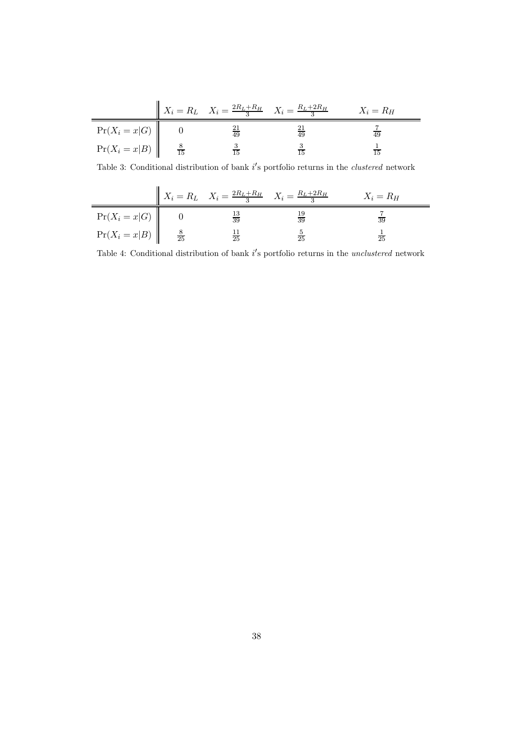|                                      | $X_i = R_L$ $X_i = \frac{2R_L + R_H}{3}$ $X_i = \frac{R_L + 2R_H}{3}$ |               | $X_i = R_H$ |
|--------------------------------------|-----------------------------------------------------------------------|---------------|-------------|
| $Pr(X_i = x G)$                      | $\overline{49}$                                                       | $rac{21}{49}$ |             |
| $Pr(X_i = x B)$ $\Big  \frac{8}{15}$ |                                                                       |               |             |

Table 3: Conditional distribution of bank  $i$ 's portfolio returns in the *clustered* network

|                 |              | $X_i = R_L$ $X_i = \frac{2R_L + R_H}{3}$ $X_i = \frac{R_L + 2R_H}{3}$ |                 | $X_i = R_H$     |
|-----------------|--------------|-----------------------------------------------------------------------|-----------------|-----------------|
| $Pr(X_i = x G)$ |              | $\frac{13}{39}$                                                       | $\frac{19}{39}$ | $\overline{39}$ |
| $Pr(X_i = x B)$ | $rac{8}{25}$ | $\frac{11}{25}$                                                       |                 | $\overline{25}$ |

Table 4: Conditional distribution of bank  $i$ 's portfolio returns in the *unclustered* network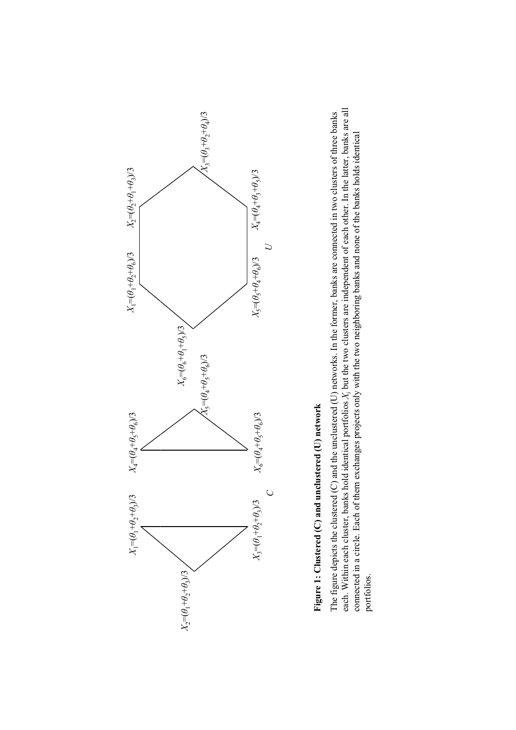

# Figure 1: Clustered (C) and unclustered (U) network **Figure 1: Clustered (C) and unclustered (U) network**

each. Within each cluster, banks hold identical portfolios X; but the two clusters are independent of each other. In the latter, banks are all each. Within each cluster, banks hold identical portfolios *Xi* but the two clusters are independent of each other. In the latter, banks are all The figure depicts the clustered (C) and the unclustered (U) networks. In the former, banks are connected in two clusters of three banks The figure depicts the clustered  $(C)$  and the unclustered  $(U)$  networks. In the former, banks are connected in two clusters of three banks connected in a circle. Each of them exchanges projects only with the two neighboring banks and none of the banks holds identical connected in a circle. Each of them exchanges projects only with the two neighboring banks and none of the banks holds identical portfolios.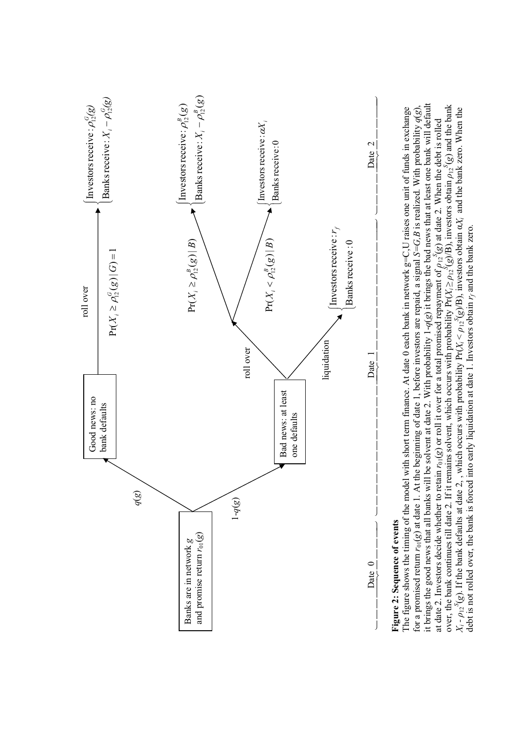

## **Figure 2: Sequence of events**  Figure 2: Sequence of events

it brings the good news that all banks will be solvent at date 2. With probability 1-*q*(*g*) it brings the bad news that at least one bank will default it brings the good news that all banks will be solvent at date 2. With probability  $1-q(g)$  it brings the bad news that at least one bank will default over, the bank continues till date 2. If it remains solvent, which occurs with probability Pr( $X_i \ge \rho_1$ <sup>5</sup>(*g*)/B), investors obtain  $\rho_1$ <sup>5</sup>(*g*) and the bank over, the bank continues till date 2. If it remains solvent, which occurs with probability  $Pr(X_i \ge \rho_1 x^{\delta}(g)B)$ , investors obtain  $\rho_1 x^{\delta}(g)$  and the bank The figure shows the timing of the model with short term finance. At date 0 each bank in network  $g=C, U$  raises one unit of funds in exchange for a promised return  $r_{01}(g)$  at date 1. At the beginning of date 1, before investors are repaid, a signal S=G, B is realized. With probability  $q(g)$ ,  $X_i - \rho_{12}^S(g)$ . If the bank defaults at date 2, , which occurs with probability Pr( $X_i < \rho_{12}^S(g/B)$ , investors obtain  $\alpha X_i$  and the bank zero. When the The figure shows the timing of the model with short term finance. At date 0 each bank in network  $g=C, U$  raises one unit of funds in exchange for a promised return *r*01(*g*) at date 1. At the beginning of date 1, before investors are repaid, a signal *S=G,B* is realized. With probability *q*(*g*),  $X_i$ - $\rho_{12}{}^S$ (g). If the bank defaults at date 2, , which occurs with probability Pr( $X_i < \rho_{12}{}^S$ (g)/B), investors obtain  $\alpha X_i$  and the bank zero. When the at date 2. Investors decide whether to retain  $r_0(g)$  or roll it over for a total promised repayment of  $p_12^S(g)$  at date 2. When the debt is rolled at date 2. Investors decide whether to retain  $r_{01}(g)$  or roll it over for a total promised repayment of  $\rho_{12}(g)$  at date 2. When the debt is rolled debt is not rolled over, the bank is forced into early liquidation at date 1. Investors obtain *rf* and the bank zero. debt is not rolled over, the bank is forced into early liquidation at date 1. Investors obtain r<sub>f</sub> and the bank zero.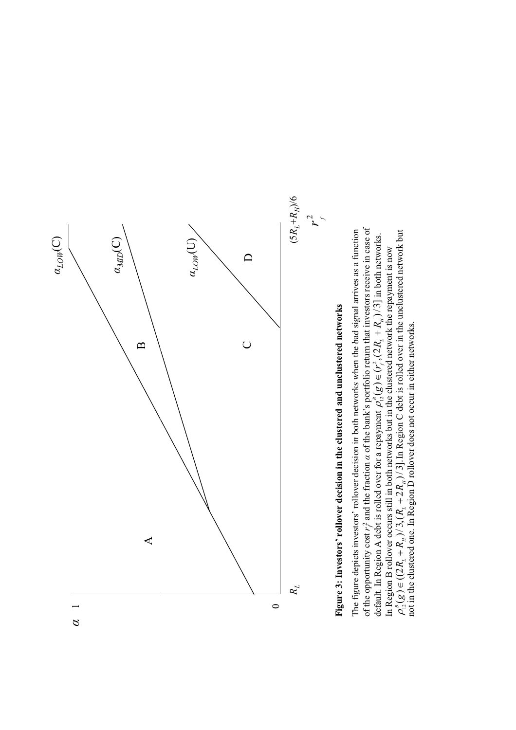

**Figure 3: Investors' rollover decision in the clustered and unclustered networks**

 $\rho_{12}^{\beta}(g) \in ((2R_L + R_n)/3, (R_L + 2R_n)/3]$ . In Region C debt is rolled over in the unclustered network but not in the clustered one. In Region D rollover does not occur in either networks. In Region C debt is rolled over in the unclustered network but The figure depicts investors' rollover decision in both networks when the bad signal arrives as a function default. In Region A debt is rolled over for a repayment  $\rho_{0}^{s}(g) \in (r_{i}^{*}, (2R_{i} + R_{a}))^{2}$  in both networks. In Region B rollover occurs still in both networks but in the clustered network the repayment is now In Region B rollover occurs still in both networks but in the clustered network the repayment is now  $\rho_{12}^B(g) \in (r_f^2, (2R_L + R_H)/3]$ not in the clustered one. In Region D rollover does not occur in either networks.  $\sim$  $\rho_{12}^{B}(g) \in ((2R_L + R_H)/3, (R_L + 2R_H)/3].$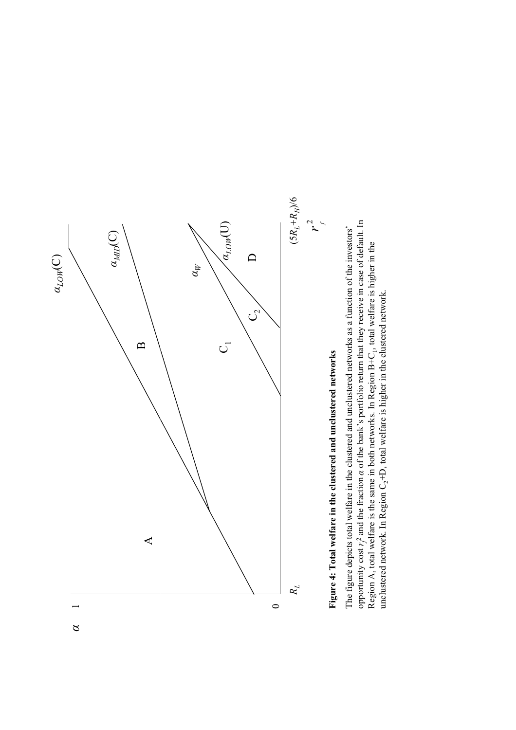

Figure 4: Total welfare in the clustered and unclustered networks **Figure 4: Total welfare in the clustered and unclustered networks**

The figure depicts total welfare in the clustered and unclustered networks as a function of the investors' opportunity cost  $r_f^2$  and the fraction  $\alpha$  of the bank's portfolio return that they receive in case of default. The figure depicts total welfare in the clustered and unclustered networks as a function of the investors' Region A, total welfare is the same in both networks. In Region  $B+C_1$ , total welfare is higher in the unclustered network. In Region  $C_2+D$ , total welfare is higher in the clustered network. Region A, total welfare is the same in both networks. In Region  $B+C_1$ , total welfare is higher in the unclustered network. In Region  $C_2+D$ , total welfare is higher in the clustered network.

 $\beta$